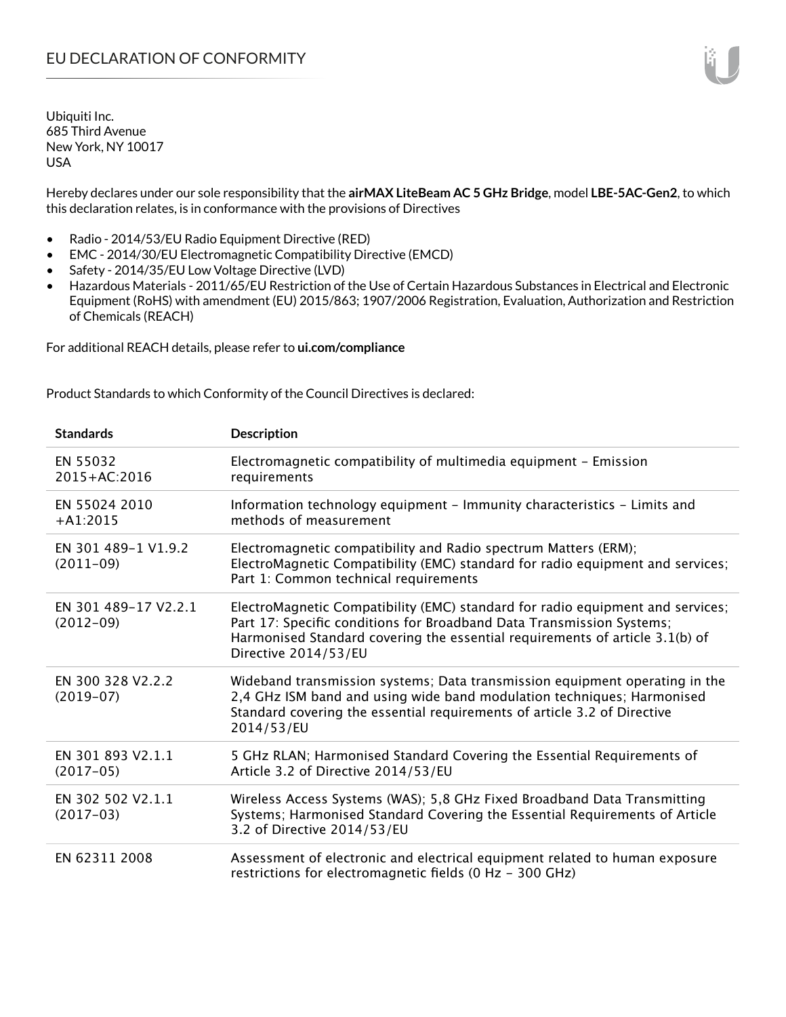Ubiquiti Inc. 685 Third Avenue New York, NY 10017 USA

Hereby declares under our sole responsibility that the **airMAX LiteBeam AC 5 GHz Bridge**, model **LBE-5AC-Gen2**, to which this declaration relates, is in conformance with the provisions of Directives

- Radio 2014/53/EU Radio Equipment Directive (RED)
- EMC 2014/30/EU Electromagnetic Compatibility Directive (EMCD)
- Safety 2014/35/EU Low Voltage Directive (LVD)
- Hazardous Materials 2011/65/EU Restriction of the Use of Certain Hazardous Substances in Electrical and Electronic Equipment (RoHS) with amendment (EU) 2015/863; 1907/2006 Registration, Evaluation, Authorization and Restriction of Chemicals (REACH)

For additional REACH details, please refer to **ui.com/compliance**

Product Standards to which Conformity of the Council Directives is declared:

| <b>Standards</b>                    | <b>Description</b>                                                                                                                                                                                                                                              |
|-------------------------------------|-----------------------------------------------------------------------------------------------------------------------------------------------------------------------------------------------------------------------------------------------------------------|
| EN 55032<br>2015+AC:2016            | Electromagnetic compatibility of multimedia equipment - Emission<br>requirements                                                                                                                                                                                |
| EN 55024 2010<br>$+A1:2015$         | Information technology equipment - Immunity characteristics - Limits and<br>methods of measurement                                                                                                                                                              |
| EN 301 489-1 V1.9.2<br>$(2011-09)$  | Electromagnetic compatibility and Radio spectrum Matters (ERM);<br>ElectroMagnetic Compatibility (EMC) standard for radio equipment and services;<br>Part 1: Common technical requirements                                                                      |
| EN 301 489-17 V2.2.1<br>$(2012-09)$ | ElectroMagnetic Compatibility (EMC) standard for radio equipment and services;<br>Part 17: Specific conditions for Broadband Data Transmission Systems;<br>Harmonised Standard covering the essential requirements of article 3.1(b) of<br>Directive 2014/53/EU |
| EN 300 328 V2.2.2<br>$(2019-07)$    | Wideband transmission systems; Data transmission equipment operating in the<br>2,4 GHz ISM band and using wide band modulation techniques; Harmonised<br>Standard covering the essential requirements of article 3.2 of Directive<br>2014/53/EU                 |
| EN 301 893 V2.1.1<br>$(2017-05)$    | 5 GHz RLAN; Harmonised Standard Covering the Essential Requirements of<br>Article 3.2 of Directive 2014/53/EU                                                                                                                                                   |
| EN 302 502 V2.1.1<br>$(2017-03)$    | Wireless Access Systems (WAS); 5,8 GHz Fixed Broadband Data Transmitting<br>Systems; Harmonised Standard Covering the Essential Requirements of Article<br>3.2 of Directive 2014/53/EU                                                                          |
| EN 62311 2008                       | Assessment of electronic and electrical equipment related to human exposure<br>restrictions for electromagnetic fields (0 Hz - 300 GHz)                                                                                                                         |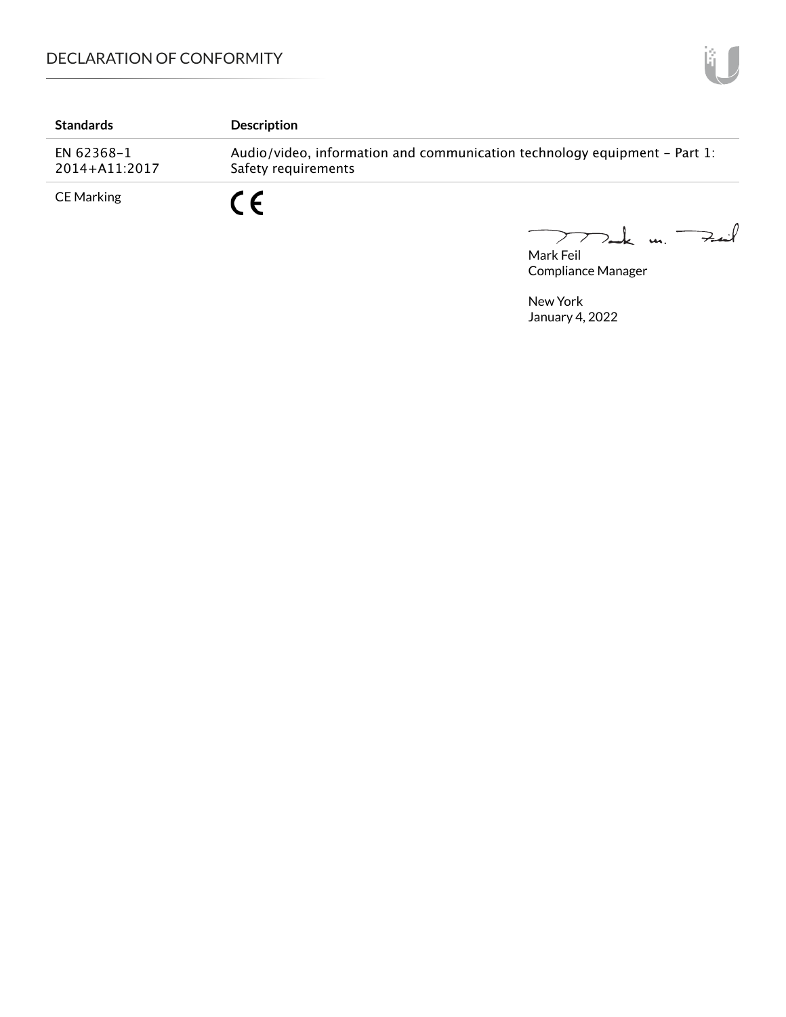| <b>Standards</b>            | <b>Description</b>                                                                               |
|-----------------------------|--------------------------------------------------------------------------------------------------|
| EN 62368-1<br>2014+A11:2017 | Audio/video, information and communication technology equipment – Part 1:<br>Safety requirements |
| CE Marking                  | - C                                                                                              |

Mark Feil<br>Mark Feil  $\overline{\phantom{0}}$ 

Compliance Manager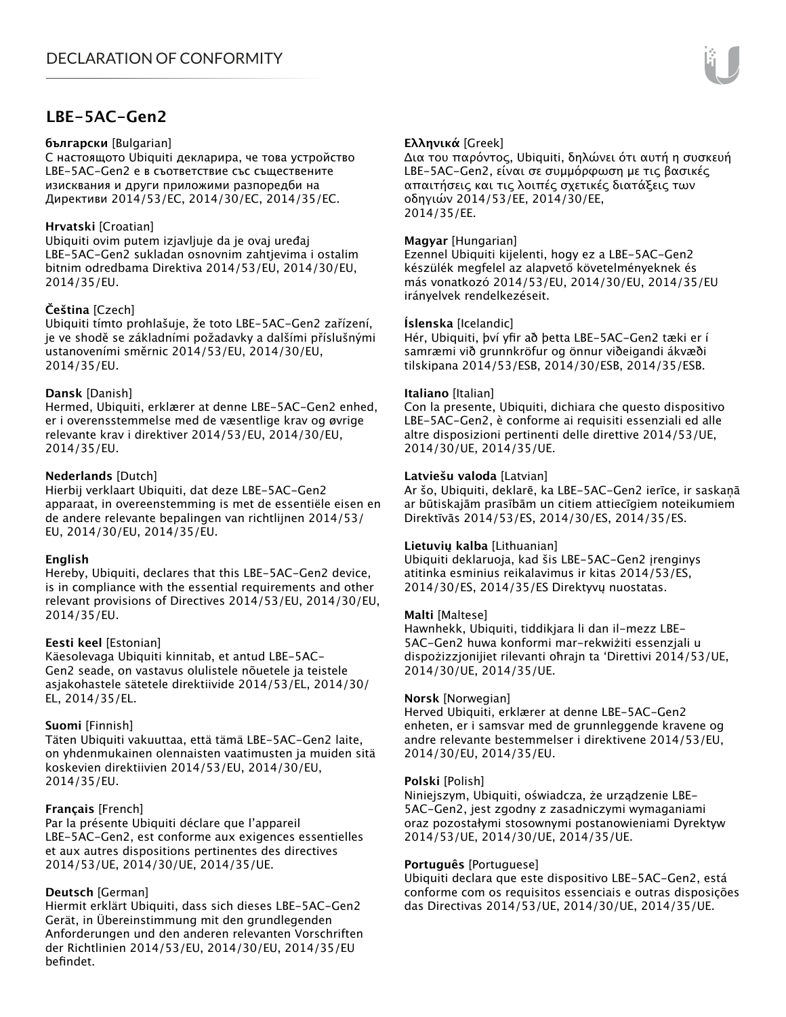# **LBE-5AC-Gen2**

#### **български** [Bulgarian]

С настоящото Ubiquiti декларира, че това устройство LBE-5AC-Gen2 е в съответствие със съществените изисквания и други приложими разпоредби на Директиви 2014/53/EC, 2014/30/ЕС, 2014/35/ЕС.

#### **Hrvatski** [Croatian]

Ubiquiti ovim putem izjavljuje da je ovaj uređaj LBE-5AC-Gen2 sukladan osnovnim zahtjevima i ostalim bitnim odredbama Direktiva 2014/53/EU, 2014/30/EU, 2014/35/EU.

## **Čeština** [Czech]

Ubiquiti tímto prohlašuje, že toto LBE-5AC-Gen2 zařízení, je ve shodě se základními požadavky a dalšími příslušnými ustanoveními směrnic 2014/53/EU, 2014/30/EU, 2014/35/EU.

## **Dansk** [Danish]

Hermed, Ubiquiti, erklærer at denne LBE-5AC-Gen2 enhed, er i overensstemmelse med de væsentlige krav og øvrige relevante krav i direktiver 2014/53/EU, 2014/30/EU, 2014/35/EU.

## **Nederlands** [Dutch]

Hierbij verklaart Ubiquiti, dat deze LBE-5AC-Gen2 apparaat, in overeenstemming is met de essentiële eisen en de andere relevante bepalingen van richtlijnen 2014/53/ EU, 2014/30/EU, 2014/35/EU.

## **English**

Hereby, Ubiquiti, declares that this LBE-5AC-Gen2 device, is in compliance with the essential requirements and other relevant provisions of Directives 2014/53/EU, 2014/30/EU, 2014/35/EU.

## **Eesti keel** [Estonian]

Käesolevaga Ubiquiti kinnitab, et antud LBE-5AC-Gen2 seade, on vastavus olulistele nõuetele ja teistele asjakohastele sätetele direktiivide 2014/53/EL, 2014/30/ EL, 2014/35/EL.

## **Suomi** [Finnish]

Täten Ubiquiti vakuuttaa, että tämä LBE-5AC-Gen2 laite, on yhdenmukainen olennaisten vaatimusten ja muiden sitä koskevien direktiivien 2014/53/EU, 2014/30/EU, 2014/35/EU.

## **Français** [French]

Par la présente Ubiquiti déclare que l'appareil LBE-5AC-Gen2, est conforme aux exigences essentielles et aux autres dispositions pertinentes des directives 2014/53/UE, 2014/30/UE, 2014/35/UE.

## **Deutsch** [German]

Hiermit erklärt Ubiquiti, dass sich dieses LBE-5AC-Gen2 Gerät, in Übereinstimmung mit den grundlegenden Anforderungen und den anderen relevanten Vorschriften der Richtlinien 2014/53/EU, 2014/30/EU, 2014/35/EU befindet.

## **Ελληνικά** [Greek]

Δια του παρόντος, Ubiquiti, δηλώνει ότι αυτή η συσκευή LBE-5AC-Gen2, είναι σε συμμόρφωση με τις βασικές απαιτήσεις και τις λοιπές σχετικές διατάξεις των οδηγιών 2014/53/EE, 2014/30/EE, 2014/35/EE.

## **Magyar** [Hungarian]

Ezennel Ubiquiti kijelenti, hogy ez a LBE-5AC-Gen2 készülék megfelel az alapvető követelményeknek és más vonatkozó 2014/53/EU, 2014/30/EU, 2014/35/EU irányelvek rendelkezéseit.

#### **Íslenska** [Icelandic]

Hér, Ubiquiti, því yfir að þetta LBE-5AC-Gen2 tæki er í samræmi við grunnkröfur og önnur viðeigandi ákvæði tilskipana 2014/53/ESB, 2014/30/ESB, 2014/35/ESB.

#### **Italiano** [Italian]

Con la presente, Ubiquiti, dichiara che questo dispositivo LBE-5AC-Gen2, è conforme ai requisiti essenziali ed alle altre disposizioni pertinenti delle direttive 2014/53/UE, 2014/30/UE, 2014/35/UE.

#### **Latviešu valoda** [Latvian]

Ar šo, Ubiquiti, deklarē, ka LBE-5AC-Gen2 ierīce, ir saskaņā ar būtiskajām prasībām un citiem attiecīgiem noteikumiem Direktīvās 2014/53/ES, 2014/30/ES, 2014/35/ES.

## **Lietuvių kalba** [Lithuanian]

Ubiquiti deklaruoja, kad šis LBE-5AC-Gen2 įrenginys atitinka esminius reikalavimus ir kitas 2014/53/ES, 2014/30/ES, 2014/35/ES Direktyvų nuostatas.

## **Malti** [Maltese]

Hawnhekk, Ubiquiti, tiddikjara li dan il-mezz LBE-5AC-Gen2 huwa konformi mar-rekwiżiti essenzjali u dispożizzjonijiet rilevanti oħrajn ta 'Direttivi 2014/53/UE, 2014/30/UE, 2014/35/UE.

#### **Norsk** [Norwegian]

Herved Ubiquiti, erklærer at denne LBE-5AC-Gen2 enheten, er i samsvar med de grunnleggende kravene og andre relevante bestemmelser i direktivene 2014/53/EU, 2014/30/EU, 2014/35/EU.

#### **Polski** [Polish]

Niniejszym, Ubiquiti, oświadcza, że urządzenie LBE-5AC-Gen2, jest zgodny z zasadniczymi wymaganiami oraz pozostałymi stosownymi postanowieniami Dyrektyw 2014/53/UE, 2014/30/UE, 2014/35/UE.

## **Português** [Portuguese]

Ubiquiti declara que este dispositivo LBE-5AC-Gen2, está conforme com os requisitos essenciais e outras disposições das Directivas 2014/53/UE, 2014/30/UE, 2014/35/UE.

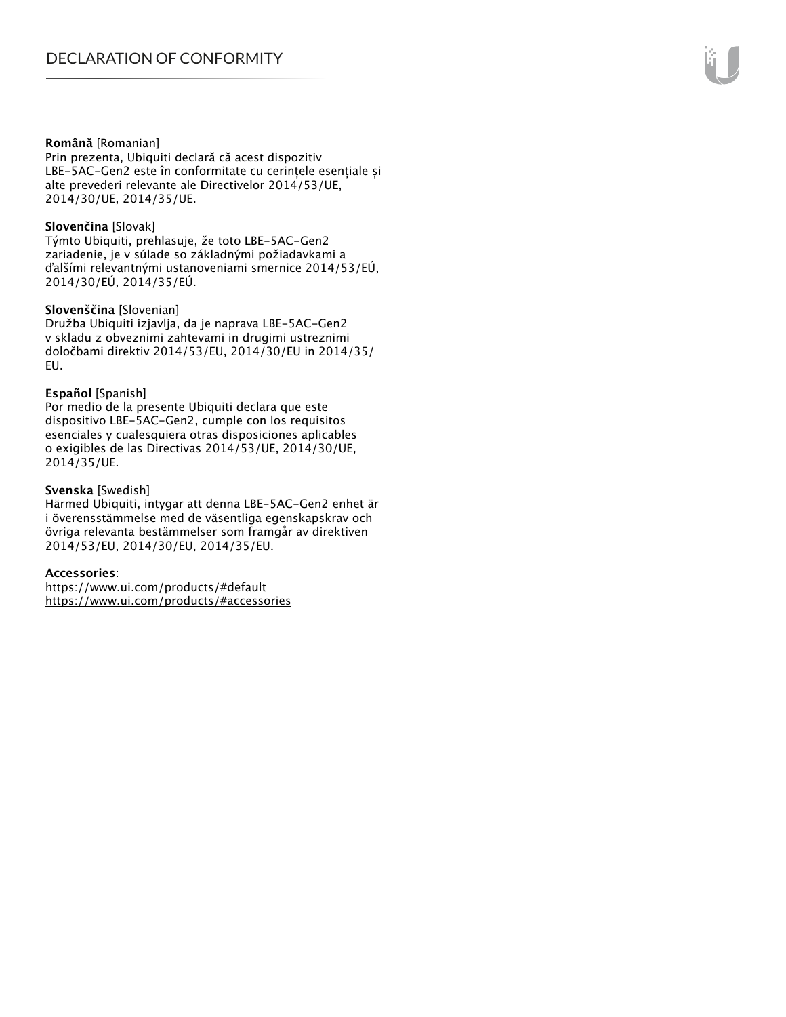#### **Română** [Romanian]

Prin prezenta, Ubiquiti declară că acest dispozitiv LBE-5AC-Gen2 este în conformitate cu cerințele esențiale și alte prevederi relevante ale Directivelor 2014/53/UE, 2014/30/UE, 2014/35/UE.

#### **Slovenčina** [Slovak]

Týmto Ubiquiti, prehlasuje, že toto LBE-5AC-Gen2 zariadenie, je v súlade so základnými požiadavkami a ďalšími relevantnými ustanoveniami smernice 2014/53/EÚ, 2014/30/EÚ, 2014/35/EÚ.

#### **Slovenščina** [Slovenian]

Družba Ubiquiti izjavlja, da je naprava LBE-5AC-Gen2 v skladu z obveznimi zahtevami in drugimi ustreznimi določbami direktiv 2014/53/EU, 2014/30/EU in 2014/35/ EU.

#### **Español** [Spanish]

Por medio de la presente Ubiquiti declara que este dispositivo LBE-5AC-Gen2, cumple con los requisitos esenciales y cualesquiera otras disposiciones aplicables o exigibles de las Directivas 2014/53/UE, 2014/30/UE, 2014/35/UE.

## **Svenska** [Swedish]

Härmed Ubiquiti, intygar att denna LBE-5AC-Gen2 enhet är i överensstämmelse med de väsentliga egenskapskrav och övriga relevanta bestämmelser som framgår av direktiven 2014/53/EU, 2014/30/EU, 2014/35/EU.

## **Accessories**:

https://www.ui.com/products/#default https://www.ui.com/products/#accessories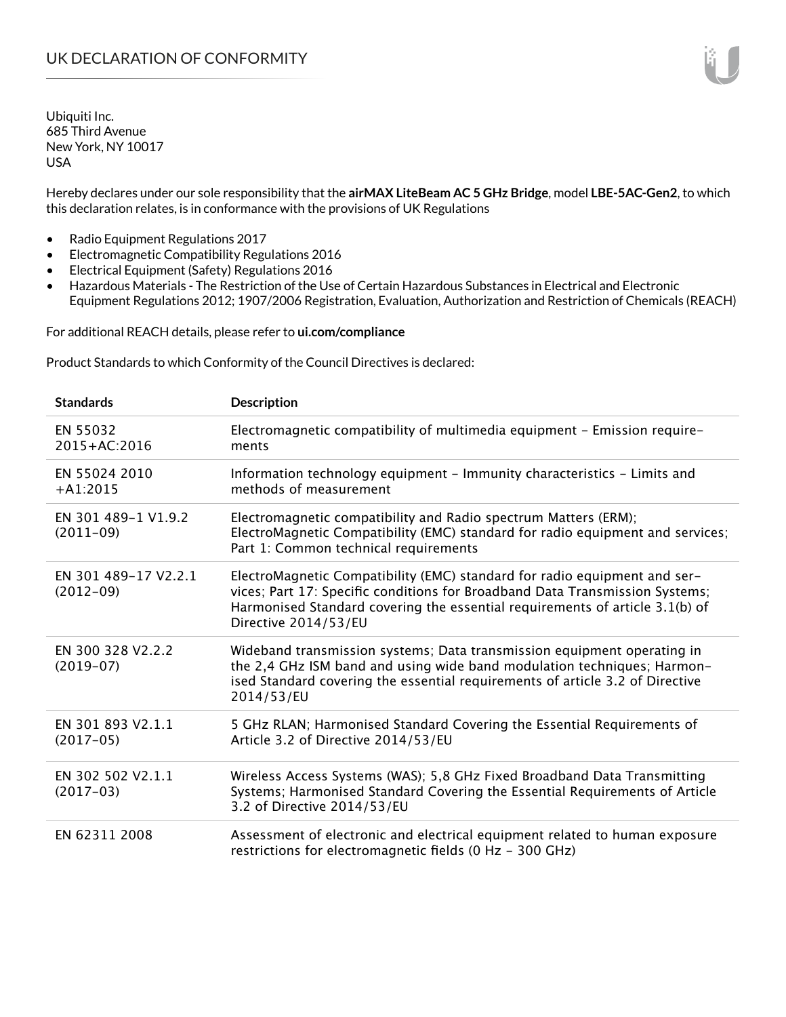Ubiquiti Inc. 685 Third Avenue New York, NY 10017 USA

Hereby declares under our sole responsibility that the **airMAX LiteBeam AC 5 GHz Bridge**, model **LBE-5AC-Gen2**, to which this declaration relates, is in conformance with the provisions of UK Regulations

- Radio Equipment Regulations 2017
- Electromagnetic Compatibility Regulations 2016
- Electrical Equipment (Safety) Regulations 2016
- Hazardous Materials The Restriction of the Use of Certain Hazardous Substances in Electrical and Electronic Equipment Regulations 2012; 1907/2006 Registration, Evaluation, Authorization and Restriction of Chemicals (REACH)

For additional REACH details, please refer to **ui.com/compliance**

Product Standards to which Conformity of the Council Directives is declared:

| <b>Standards</b>                    | <b>Description</b>                                                                                                                                                                                                                                                |
|-------------------------------------|-------------------------------------------------------------------------------------------------------------------------------------------------------------------------------------------------------------------------------------------------------------------|
| EN 55032<br>2015+AC:2016            | Electromagnetic compatibility of multimedia equipment - Emission require-<br>ments                                                                                                                                                                                |
| EN 55024 2010<br>$+A1:2015$         | Information technology equipment - Immunity characteristics - Limits and<br>methods of measurement                                                                                                                                                                |
| EN 301 489-1 V1.9.2<br>$(2011-09)$  | Electromagnetic compatibility and Radio spectrum Matters (ERM);<br>ElectroMagnetic Compatibility (EMC) standard for radio equipment and services;<br>Part 1: Common technical requirements                                                                        |
| EN 301 489-17 V2.2.1<br>$(2012-09)$ | ElectroMagnetic Compatibility (EMC) standard for radio equipment and ser-<br>vices; Part 17: Specific conditions for Broadband Data Transmission Systems;<br>Harmonised Standard covering the essential requirements of article 3.1(b) of<br>Directive 2014/53/EU |
| EN 300 328 V2.2.2<br>$(2019-07)$    | Wideband transmission systems; Data transmission equipment operating in<br>the 2,4 GHz ISM band and using wide band modulation techniques; Harmon-<br>ised Standard covering the essential requirements of article 3.2 of Directive<br>2014/53/EU                 |
| EN 301 893 V2.1.1<br>$(2017-05)$    | 5 GHz RLAN; Harmonised Standard Covering the Essential Requirements of<br>Article 3.2 of Directive 2014/53/EU                                                                                                                                                     |
| EN 302 502 V2.1.1<br>$(2017-03)$    | Wireless Access Systems (WAS); 5,8 GHz Fixed Broadband Data Transmitting<br>Systems; Harmonised Standard Covering the Essential Requirements of Article<br>3.2 of Directive 2014/53/EU                                                                            |
| EN 62311 2008                       | Assessment of electronic and electrical equipment related to human exposure<br>restrictions for electromagnetic fields (0 Hz - 300 GHz)                                                                                                                           |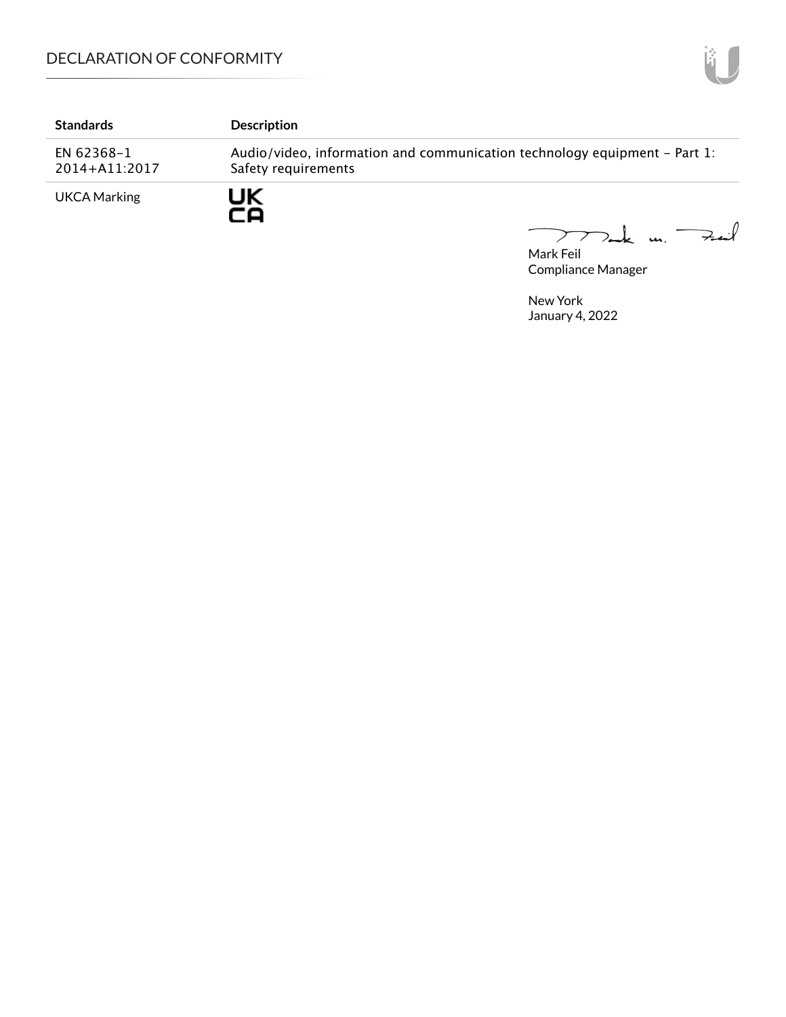# DECLARATION OF CONFORMITY

| <b>Standards</b>            | <b>Description</b>                                                                               |
|-----------------------------|--------------------------------------------------------------------------------------------------|
| EN 62368-1<br>2014+A11:2017 | Audio/video, information and communication technology equipment – Part 1:<br>Safety requirements |
| <b>UKCA Marking</b>         | JΚ                                                                                               |

Mark Feil un Feuil  $\overline{\phantom{0}}$ 

Compliance Manager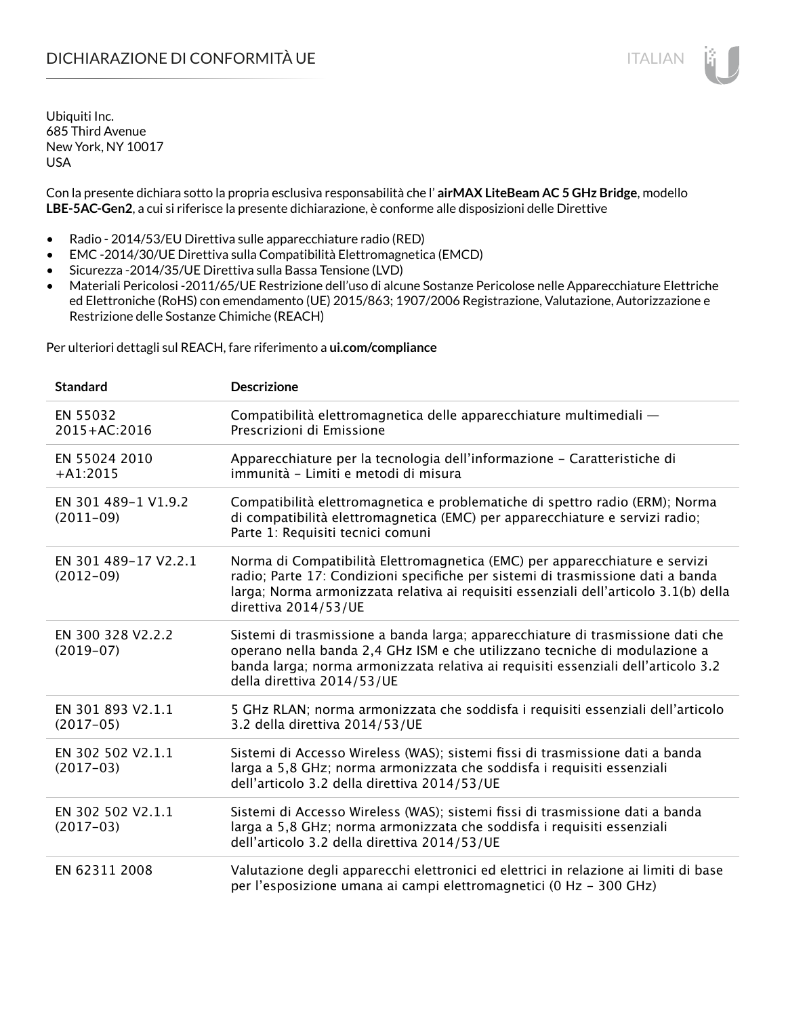# DICHIARAZIONE DI CONFORMITÀ UE ITALIAN ITALIAN

Ubiquiti Inc. 685 Third Avenue New York, NY 10017 USA

Con la presente dichiara sotto la propria esclusiva responsabilità che l' **airMAX LiteBeam AC 5 GHz Bridge**, modello **LBE-5AC-Gen2**, a cui si riferisce la presente dichiarazione, è conforme alle disposizioni delle Direttive

- Radio 2014/53/EU Direttiva sulle apparecchiature radio (RED)
- EMC -2014/30/UE Direttiva sulla Compatibilità Elettromagnetica (EMCD)
- Sicurezza -2014/35/UE Direttiva sulla Bassa Tensione (LVD)
- Materiali Pericolosi -2011/65/UE Restrizione dell'uso di alcune Sostanze Pericolose nelle Apparecchiature Elettriche ed Elettroniche (RoHS) con emendamento (UE) 2015/863; 1907/2006 Registrazione, Valutazione, Autorizzazione e Restrizione delle Sostanze Chimiche (REACH)

Per ulteriori dettagli sul REACH, fare riferimento a **ui.com/compliance**

| <b>Standard</b>                     | <b>Descrizione</b>                                                                                                                                                                                                                                                               |
|-------------------------------------|----------------------------------------------------------------------------------------------------------------------------------------------------------------------------------------------------------------------------------------------------------------------------------|
| EN 55032<br>2015+AC:2016            | Compatibilità elettromagnetica delle apparecchiature multimediali -<br>Prescrizioni di Emissione                                                                                                                                                                                 |
| EN 55024 2010<br>$+A1:2015$         | Apparecchiature per la tecnologia dell'informazione - Caratteristiche di<br>immunità - Limiti e metodi di misura                                                                                                                                                                 |
| EN 301 489-1 V1.9.2<br>$(2011-09)$  | Compatibilità elettromagnetica e problematiche di spettro radio (ERM); Norma<br>di compatibilità elettromagnetica (EMC) per apparecchiature e servizi radio;<br>Parte 1: Requisiti tecnici comuni                                                                                |
| EN 301 489-17 V2.2.1<br>$(2012-09)$ | Norma di Compatibilità Elettromagnetica (EMC) per apparecchiature e servizi<br>radio; Parte 17: Condizioni specifiche per sistemi di trasmissione dati a banda<br>larga; Norma armonizzata relativa ai requisiti essenziali dell'articolo 3.1(b) della<br>direttiva 2014/53/UE   |
| EN 300 328 V2.2.2<br>$(2019-07)$    | Sistemi di trasmissione a banda larga; apparecchiature di trasmissione dati che<br>operano nella banda 2,4 GHz ISM e che utilizzano tecniche di modulazione a<br>banda larga; norma armonizzata relativa ai requisiti essenziali dell'articolo 3.2<br>della direttiva 2014/53/UE |
| EN 301 893 V2.1.1<br>$(2017-05)$    | 5 GHz RLAN; norma armonizzata che soddisfa i requisiti essenziali dell'articolo<br>3.2 della direttiva 2014/53/UE                                                                                                                                                                |
| EN 302 502 V2.1.1<br>$(2017-03)$    | Sistemi di Accesso Wireless (WAS); sistemi fissi di trasmissione dati a banda<br>larga a 5,8 GHz; norma armonizzata che soddisfa i requisiti essenziali<br>dell'articolo 3.2 della direttiva 2014/53/UE                                                                          |
| EN 302 502 V2.1.1<br>$(2017-03)$    | Sistemi di Accesso Wireless (WAS); sistemi fissi di trasmissione dati a banda<br>larga a 5,8 GHz; norma armonizzata che soddisfa i requisiti essenziali<br>dell'articolo 3.2 della direttiva 2014/53/UE                                                                          |
| EN 62311 2008                       | Valutazione degli apparecchi elettronici ed elettrici in relazione ai limiti di base<br>per l'esposizione umana ai campi elettromagnetici (0 Hz - 300 GHz)                                                                                                                       |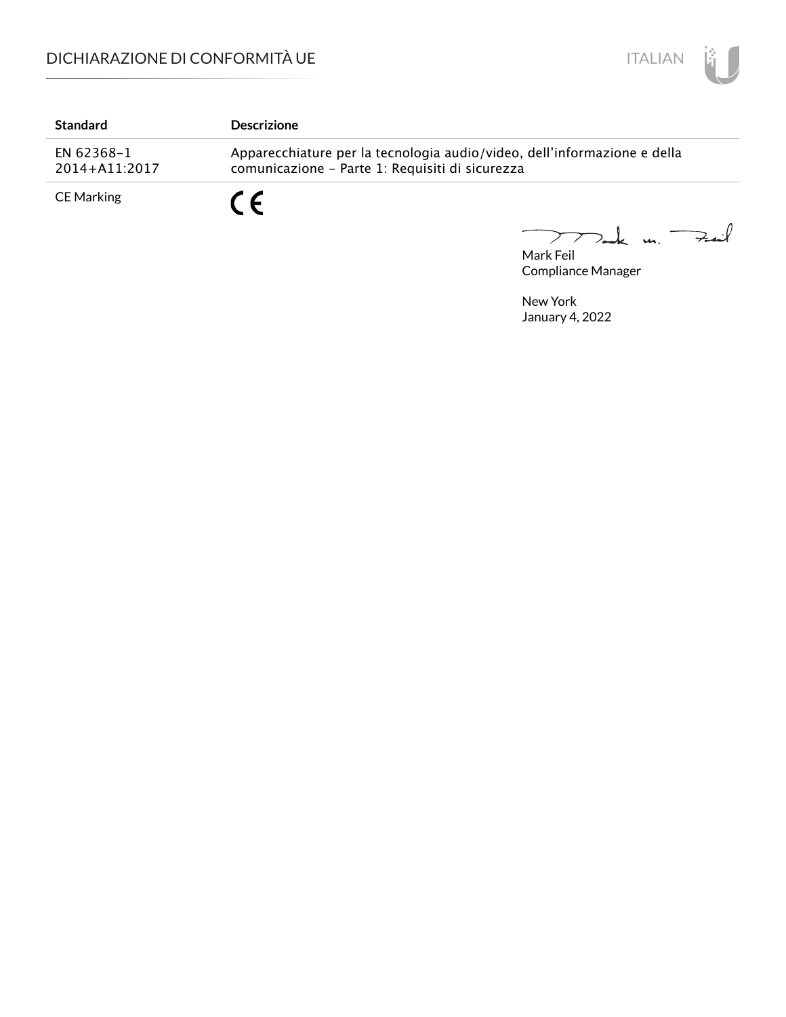

| <b>Standard</b>             | <b>Descrizione</b>                                                                                                          |
|-----------------------------|-----------------------------------------------------------------------------------------------------------------------------|
| EN 62368-1<br>2014+A11:2017 | Apparecchiature per la tecnologia audio/video, dell'informazione e della<br>comunicazione - Parte 1: Requisiti di sicurezza |
| CE Marking                  | C C                                                                                                                         |

Mark Feil<br>Mark Feil  $\overline{\phantom{0}}$ 

Compliance Manager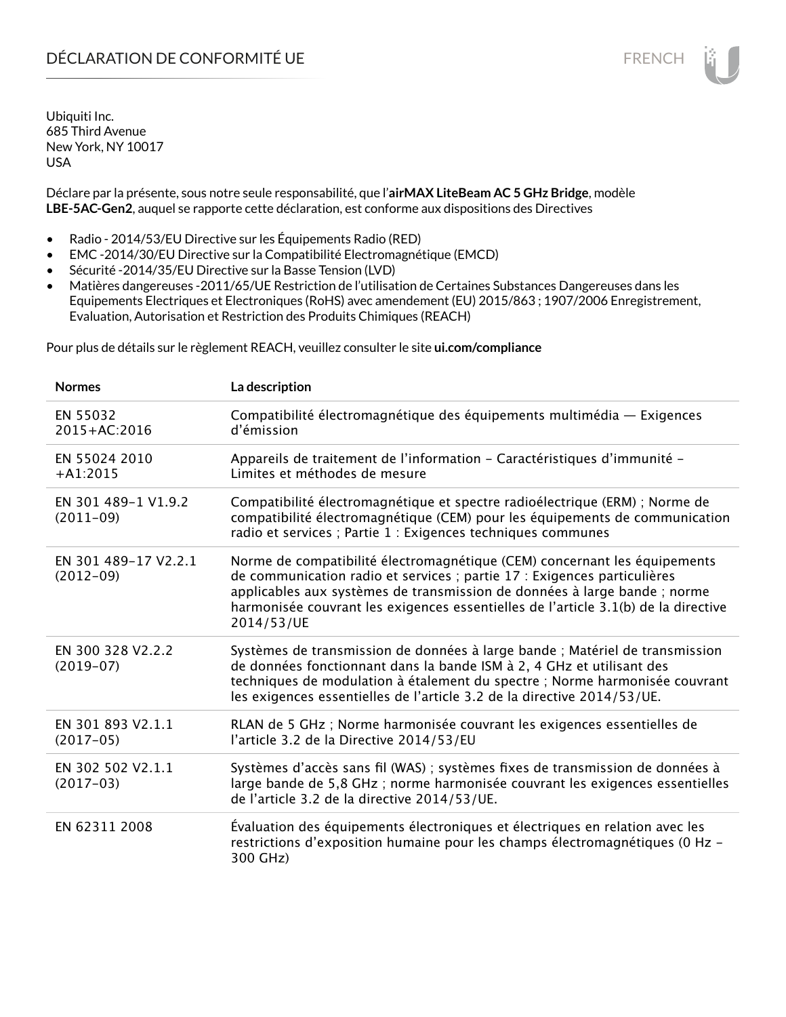# DÉCLARATION DE CONFORMITÉ UE FRENCH

Ubiquiti Inc. 685 Third Avenue New York, NY 10017 USA

Déclare par la présente, sous notre seule responsabilité, que l'**airMAX LiteBeam AC 5 GHz Bridge**, modèle **LBE-5AC-Gen2**, auquel se rapporte cette déclaration, est conforme aux dispositions des Directives

- Radio 2014/53/EU Directive sur les Équipements Radio (RED)
- EMC -2014/30/EU Directive sur la Compatibilité Electromagnétique (EMCD)
- Sécurité -2014/35/EU Directive sur la Basse Tension (LVD)
- Matières dangereuses -2011/65/UE Restriction de l'utilisation de Certaines Substances Dangereuses dans les Equipements Electriques et Electroniques (RoHS) avec amendement (EU) 2015/863 ; 1907/2006 Enregistrement, Evaluation, Autorisation et Restriction des Produits Chimiques (REACH)

Pour plus de détails sur le règlement REACH, veuillez consulter le site **ui.com/compliance**

| <b>Normes</b>                       | La description                                                                                                                                                                                                                                                                                                                         |
|-------------------------------------|----------------------------------------------------------------------------------------------------------------------------------------------------------------------------------------------------------------------------------------------------------------------------------------------------------------------------------------|
| EN 55032<br>2015+AC:2016            | Compatibilité électromagnétique des équipements multimédia - Exigences<br>d'émission                                                                                                                                                                                                                                                   |
| EN 55024 2010<br>$+A1:2015$         | Appareils de traitement de l'information - Caractéristiques d'immunité -<br>Limites et méthodes de mesure                                                                                                                                                                                                                              |
| EN 301 489-1 V1.9.2<br>$(2011-09)$  | Compatibilité électromagnétique et spectre radioélectrique (ERM) ; Norme de<br>compatibilité électromagnétique (CEM) pour les équipements de communication<br>radio et services ; Partie 1 : Exigences techniques communes                                                                                                             |
| EN 301 489-17 V2.2.1<br>$(2012-09)$ | Norme de compatibilité électromagnétique (CEM) concernant les équipements<br>de communication radio et services ; partie 17 : Exigences particulières<br>applicables aux systèmes de transmission de données à large bande ; norme<br>harmonisée couvrant les exigences essentielles de l'article 3.1(b) de la directive<br>2014/53/UE |
| EN 300 328 V2.2.2<br>$(2019-07)$    | Systèmes de transmission de données à large bande ; Matériel de transmission<br>de données fonctionnant dans la bande ISM à 2, 4 GHz et utilisant des<br>techniques de modulation à étalement du spectre ; Norme harmonisée couvrant<br>les exigences essentielles de l'article 3.2 de la directive 2014/53/UE.                        |
| EN 301 893 V2.1.1<br>$(2017-05)$    | RLAN de 5 GHz ; Norme harmonisée couvrant les exigences essentielles de<br>l'article 3.2 de la Directive 2014/53/EU                                                                                                                                                                                                                    |
| EN 302 502 V2.1.1<br>$(2017-03)$    | Systèmes d'accès sans fil (WAS) ; systèmes fixes de transmission de données à<br>large bande de 5,8 GHz ; norme harmonisée couvrant les exigences essentielles<br>de l'article 3.2 de la directive 2014/53/UE.                                                                                                                         |
| EN 62311 2008                       | Évaluation des équipements électroniques et électriques en relation avec les<br>restrictions d'exposition humaine pour les champs électromagnétiques (0 Hz -<br>300 GHz)                                                                                                                                                               |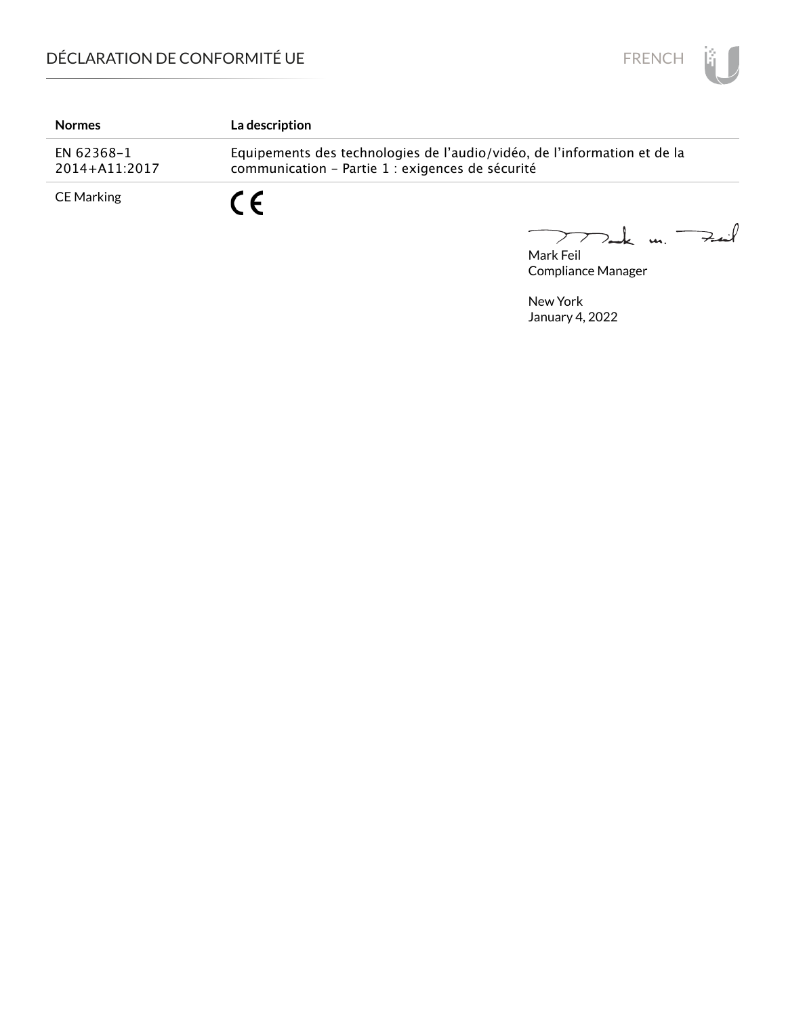

| <b>Normes</b>               | <b>La description</b>                                                                                                        |
|-----------------------------|------------------------------------------------------------------------------------------------------------------------------|
| EN 62368-1<br>2014+A11:2017 | Equipements des technologies de l'audio/vidéo, de l'information et de la<br>communication - Partie 1 : exigences de sécurité |
| CE Marking                  |                                                                                                                              |

Mark Feil<br>Mark Feil  $\overline{\phantom{0}}$ 

Compliance Manager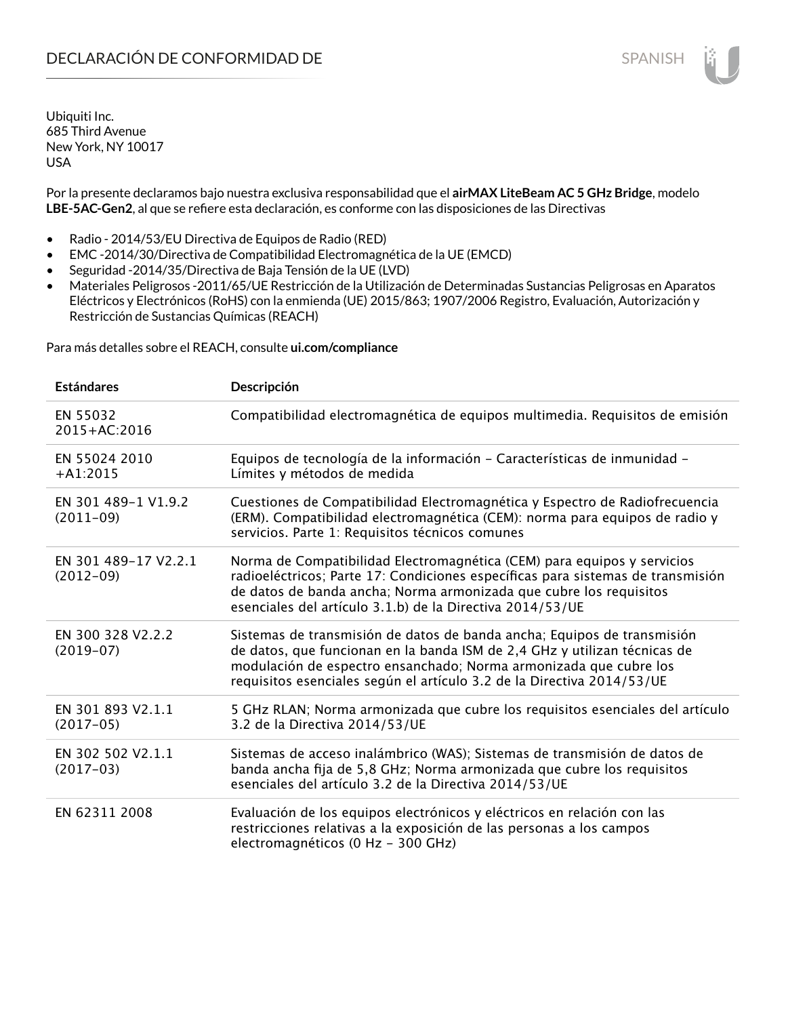Ubiquiti Inc. 685 Third Avenue New York, NY 10017 USA

Por la presente declaramos bajo nuestra exclusiva responsabilidad que el **airMAX LiteBeam AC 5 GHz Bridge**, modelo **LBE-5AC-Gen2**, al que se refiere esta declaración, es conforme con las disposiciones de las Directivas

- Radio 2014/53/EU Directiva de Equipos de Radio (RED)
- EMC -2014/30/Directiva de Compatibilidad Electromagnética de la UE (EMCD)
- Seguridad -2014/35/Directiva de Baja Tensión de la UE (LVD)
- Materiales Peligrosos -2011/65/UE Restricción de la Utilización de Determinadas Sustancias Peligrosas en Aparatos Eléctricos y Electrónicos (RoHS) con la enmienda (UE) 2015/863; 1907/2006 Registro, Evaluación, Autorización y Restricción de Sustancias Químicas (REACH)

Para más detalles sobre el REACH, consulte **ui.com/compliance**

| <b>Estándares</b>                   | Descripción                                                                                                                                                                                                                                                                                         |
|-------------------------------------|-----------------------------------------------------------------------------------------------------------------------------------------------------------------------------------------------------------------------------------------------------------------------------------------------------|
| EN 55032<br>2015+AC:2016            | Compatibilidad electromagnética de equipos multimedia. Requisitos de emisión                                                                                                                                                                                                                        |
| EN 55024 2010<br>$+A1:2015$         | Equipos de tecnología de la información - Características de inmunidad -<br>Límites y métodos de medida                                                                                                                                                                                             |
| EN 301 489-1 V1.9.2<br>$(2011-09)$  | Cuestiones de Compatibilidad Electromagnética y Espectro de Radiofrecuencia<br>(ERM). Compatibilidad electromagnética (CEM): norma para equipos de radio y<br>servicios. Parte 1: Requisitos técnicos comunes                                                                                       |
| EN 301 489-17 V2.2.1<br>$(2012-09)$ | Norma de Compatibilidad Electromagnética (CEM) para equipos y servicios<br>radioeléctricos; Parte 17: Condiciones específicas para sistemas de transmisión<br>de datos de banda ancha; Norma armonizada que cubre los requisitos<br>esenciales del artículo 3.1.b) de la Directiva 2014/53/UE       |
| EN 300 328 V2.2.2<br>$(2019-07)$    | Sistemas de transmisión de datos de banda ancha; Equipos de transmisión<br>de datos, que funcionan en la banda ISM de 2,4 GHz y utilizan técnicas de<br>modulación de espectro ensanchado; Norma armonizada que cubre los<br>requisitos esenciales según el artículo 3.2 de la Directiva 2014/53/UE |
| EN 301 893 V2.1.1<br>$(2017-05)$    | 5 GHz RLAN; Norma armonizada que cubre los requisitos esenciales del artículo<br>3.2 de la Directiva 2014/53/UE                                                                                                                                                                                     |
| EN 302 502 V2.1.1<br>$(2017-03)$    | Sistemas de acceso inalámbrico (WAS); Sistemas de transmisión de datos de<br>banda ancha fija de 5,8 GHz; Norma armonizada que cubre los requisitos<br>esenciales del artículo 3.2 de la Directiva 2014/53/UE                                                                                       |
| EN 62311 2008                       | Evaluación de los equipos electrónicos y eléctricos en relación con las<br>restricciones relativas a la exposición de las personas a los campos<br>electromagnéticos (0 Hz - 300 GHz)                                                                                                               |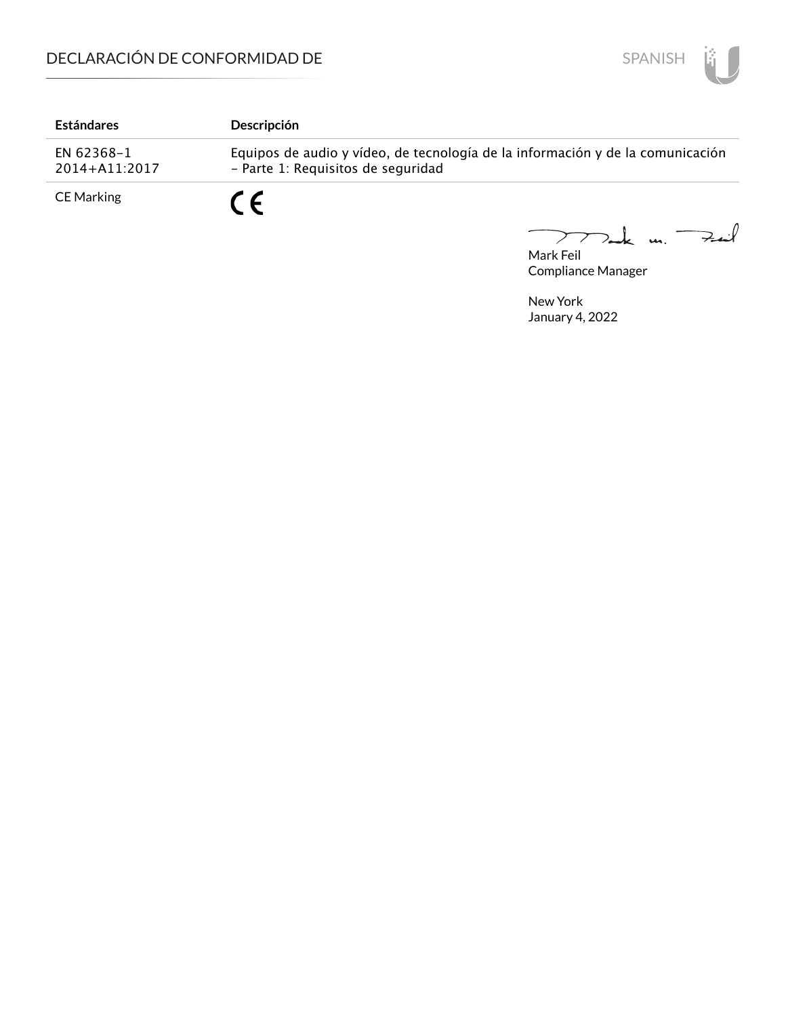

| <b>Estándares</b>           | <b>Descripción</b>                                                                                                   |
|-----------------------------|----------------------------------------------------------------------------------------------------------------------|
| EN 62368-1<br>2014+A11:2017 | Equipos de audio y vídeo, de tecnología de la información y de la comunicación<br>- Parte 1: Requisitos de seguridad |
| <b>CE Marking</b>           | $\epsilon$                                                                                                           |

Mark Feil u. <del>Zuil</del>  $\overline{\phantom{m}}$ 

Compliance Manager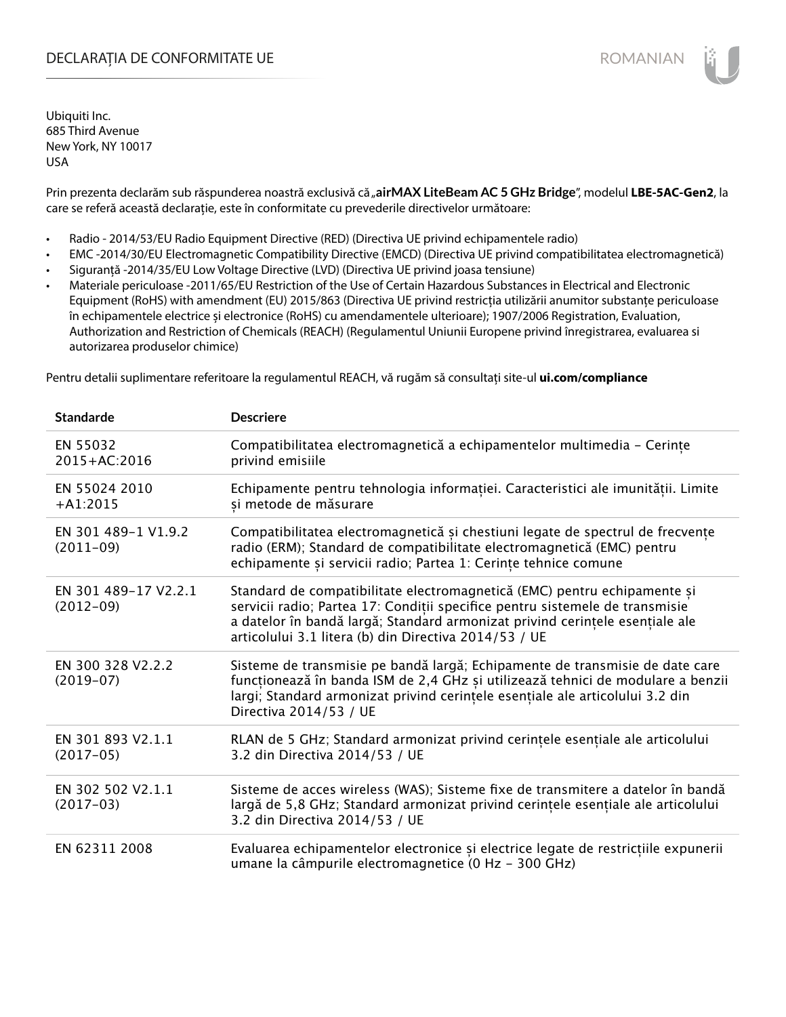## DECLARAȚIA DE CONFORMITATE UE EXECUCIÓN EN ELECCIÓN ROMANIAN

Ubiquiti Inc. 685 Third Avenue New York, NY 10017 USA

Prin prezenta declarăm sub răspunderea noastră exclusivă că "airMAX LiteBeam AC 5 GHz Bridge", modelul LBE-5AC-Gen2, la care se referă această declarație, este în conformitate cu prevederile directivelor următoare:

- Radio 2014/53/EU Radio Equipment Directive (RED) (Directiva UE privind echipamentele radio)
- EMC -2014/30/EU Electromagnetic Compatibility Directive (EMCD) (Directiva UE privind compatibilitatea electromagnetică)
- Siguranță -2014/35/EU Low Voltage Directive (LVD) (Directiva UE privind joasa tensiune)
- Materiale periculoase -2011/65/EU Restriction of the Use of Certain Hazardous Substances in Electrical and Electronic Equipment (RoHS) with amendment (EU) 2015/863 (Directiva UE privind restricția utilizării anumitor substanțe periculoase în echipamentele electrice și electronice (RoHS) cu amendamentele ulterioare); 1907/2006 Registration, Evaluation, Authorization and Restriction of Chemicals (REACH) (Regulamentul Uniunii Europene privind înregistrarea, evaluarea si autorizarea produselor chimice)

Pentru detalii suplimentare referitoare la regulamentul REACH, vă rugăm să consultați site-ul **ui.com/compliance**

| <b>Standarde</b>                    | <b>Descriere</b>                                                                                                                                                                                                                                                                                  |
|-------------------------------------|---------------------------------------------------------------------------------------------------------------------------------------------------------------------------------------------------------------------------------------------------------------------------------------------------|
| EN 55032<br>2015+AC:2016            | Compatibilitatea electromagnetică a echipamentelor multimedia - Cerințe<br>privind emisiile                                                                                                                                                                                                       |
| EN 55024 2010<br>$+A1:2015$         | Echipamente pentru tehnologia informației. Caracteristici ale imunității. Limite<br>și metode de măsurare                                                                                                                                                                                         |
| EN 301 489-1 V1.9.2<br>$(2011-09)$  | Compatibilitatea electromagnetică și chestiuni legate de spectrul de frecvențe<br>radio (ERM); Standard de compatibilitate electromagnetică (EMC) pentru<br>echipamente și servicii radio; Partea 1: Cerințe tehnice comune                                                                       |
| EN 301 489-17 V2.2.1<br>$(2012-09)$ | Standard de compatibilitate electromagnetică (EMC) pentru echipamente și<br>servicii radio; Partea 17: Condiții specifice pentru sistemele de transmisie<br>a datelor în bandă largă; Standard armonizat privind cerințele esențiale ale<br>articolului 3.1 litera (b) din Directiva 2014/53 / UE |
| EN 300 328 V2.2.2<br>$(2019-07)$    | Sisteme de transmisie pe bandă largă; Echipamente de transmisie de date care<br>funcționează în banda ISM de 2,4 GHz și utilizează tehnici de modulare a benzii<br>largi; Standard armonizat privind cerințele esențiale ale articolului 3.2 din<br>Directiva 2014/53 / UE                        |
| EN 301 893 V2.1.1<br>$(2017-05)$    | RLAN de 5 GHz; Standard armonizat privind cerințele esențiale ale articolului<br>3.2 din Directiva 2014/53 / UE                                                                                                                                                                                   |
| EN 302 502 V2.1.1<br>$(2017-03)$    | Sisteme de acces wireless (WAS); Sisteme fixe de transmitere a datelor în bandă<br>largă de 5,8 GHz; Standard armonizat privind cerințele esențiale ale articolului<br>3.2 din Directiva 2014/53 / UE                                                                                             |
| EN 62311 2008                       | Evaluarea echipamentelor electronice și electrice legate de restricțiile expunerii<br>umane la câmpurile electromagnetice (0 Hz - 300 GHz)                                                                                                                                                        |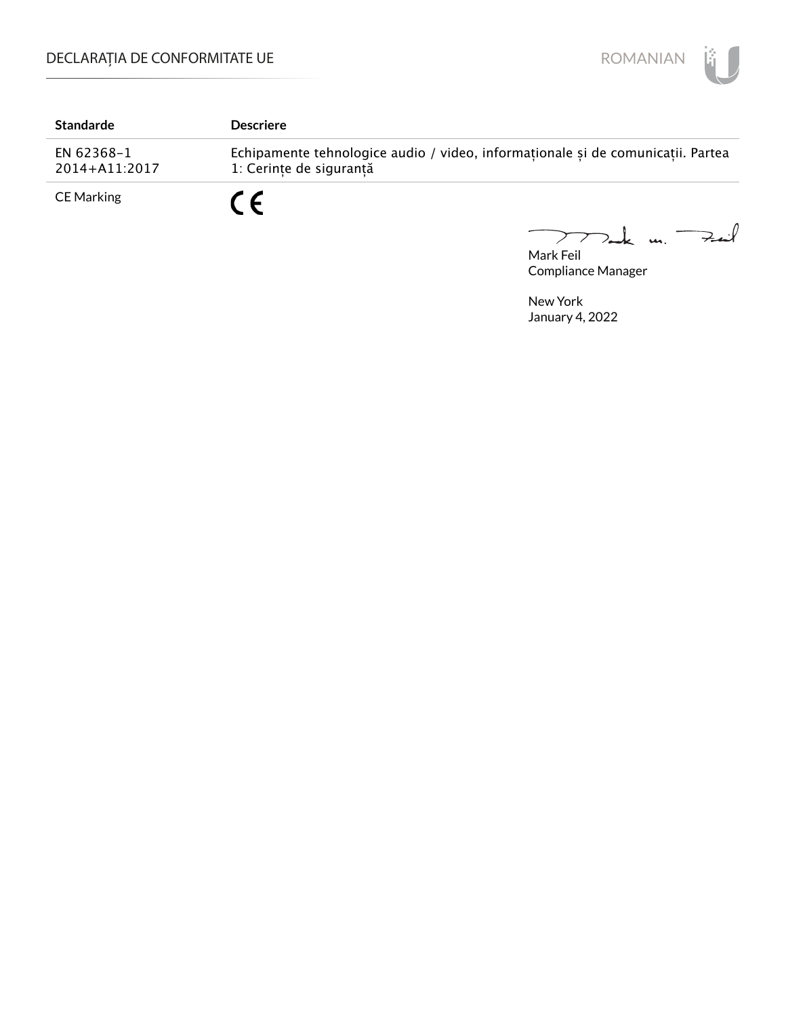

| <b>Standarde</b>            | <b>Descriere</b>                                                                                           |
|-----------------------------|------------------------------------------------------------------------------------------------------------|
| EN 62368-1<br>2014+A11:2017 | Echipamente tehnologice audio / video, informaționale și de comunicații. Partea<br>1: Cerinte de sigurantă |
| <b>CE Marking</b>           |                                                                                                            |

Mark Feil u. <del>Zuil</del>  $\overline{\phantom{m}}$ 

Compliance Manager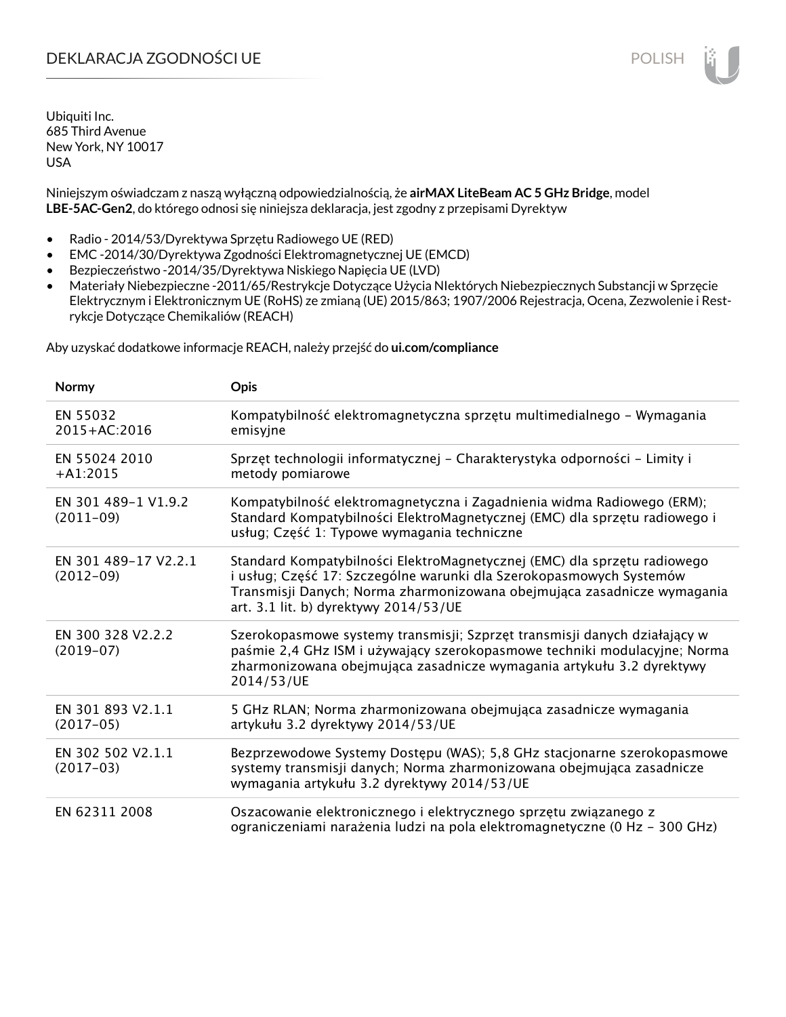# DEKLARACJA ZGODNOŚCI UE POLISH POLISH

Ubiquiti Inc. 685 Third Avenue New York, NY 10017 USA

Niniejszym oświadczam z naszą wyłączną odpowiedzialnością, że **airMAX LiteBeam AC 5 GHz Bridge**, model **LBE-5AC-Gen2**, do którego odnosi się niniejsza deklaracja, jest zgodny z przepisami Dyrektyw

- Radio 2014/53/Dyrektywa Sprzętu Radiowego UE (RED)
- EMC -2014/30/Dyrektywa Zgodności Elektromagnetycznej UE (EMCD)
- Bezpieczeństwo -2014/35/Dyrektywa Niskiego Napięcia UE (LVD)
- Materiały Niebezpieczne -2011/65/Restrykcje Dotyczące Użycia NIektórych Niebezpiecznych Substancji w Sprzęcie Elektrycznym i Elektronicznym UE (RoHS) ze zmianą (UE) 2015/863; 1907/2006 Rejestracja, Ocena, Zezwolenie i Restrykcje Dotyczące Chemikaliów (REACH)

Aby uzyskać dodatkowe informacje REACH, należy przejść do **ui.com/compliance**

| Normy                               | Opis                                                                                                                                                                                                                                                                |
|-------------------------------------|---------------------------------------------------------------------------------------------------------------------------------------------------------------------------------------------------------------------------------------------------------------------|
| EN 55032<br>$2015 + AC:2016$        | Kompatybilność elektromagnetyczna sprzętu multimedialnego – Wymagania<br>emisyjne                                                                                                                                                                                   |
| EN 55024 2010<br>$+A1:2015$         | Sprzęt technologii informatycznej - Charakterystyka odporności - Limity i<br>metody pomiarowe                                                                                                                                                                       |
| EN 301 489-1 V1.9.2<br>$(2011-09)$  | Kompatybilność elektromagnetyczna i Zagadnienia widma Radiowego (ERM);<br>Standard Kompatybilności ElektroMagnetycznej (EMC) dla sprzętu radiowego i<br>usług; Część 1: Typowe wymagania techniczne                                                                 |
| EN 301 489-17 V2.2.1<br>$(2012-09)$ | Standard Kompatybilności ElektroMagnetycznej (EMC) dla sprzętu radiowego<br>i usług; Część 17: Szczególne warunki dla Szerokopasmowych Systemów<br>Transmisji Danych; Norma zharmonizowana obejmująca zasadnicze wymagania<br>art. 3.1 lit. b) dyrektywy 2014/53/UE |
| EN 300 328 V2.2.2<br>$(2019-07)$    | Szerokopasmowe systemy transmisji; Szprzęt transmisji danych działający w<br>paśmie 2,4 GHz ISM i używający szerokopasmowe techniki modulacyjne; Norma<br>zharmonizowana obejmująca zasadnicze wymagania artykułu 3.2 dyrektywy<br>2014/53/UE                       |
| EN 301 893 V2.1.1<br>$(2017-05)$    | 5 GHz RLAN; Norma zharmonizowana obejmująca zasadnicze wymagania<br>artykułu 3.2 dyrektywy 2014/53/UE                                                                                                                                                               |
| EN 302 502 V2.1.1<br>$(2017-03)$    | Bezprzewodowe Systemy Dostępu (WAS); 5,8 GHz stacjonarne szerokopasmowe<br>systemy transmisji danych; Norma zharmonizowana obejmująca zasadnicze<br>wymagania artykułu 3.2 dyrektywy 2014/53/UE                                                                     |
| EN 62311 2008                       | Oszacowanie elektronicznego i elektrycznego sprzętu związanego z<br>ograniczeniami narażenia ludzi na pola elektromagnetyczne (0 Hz - 300 GHz)                                                                                                                      |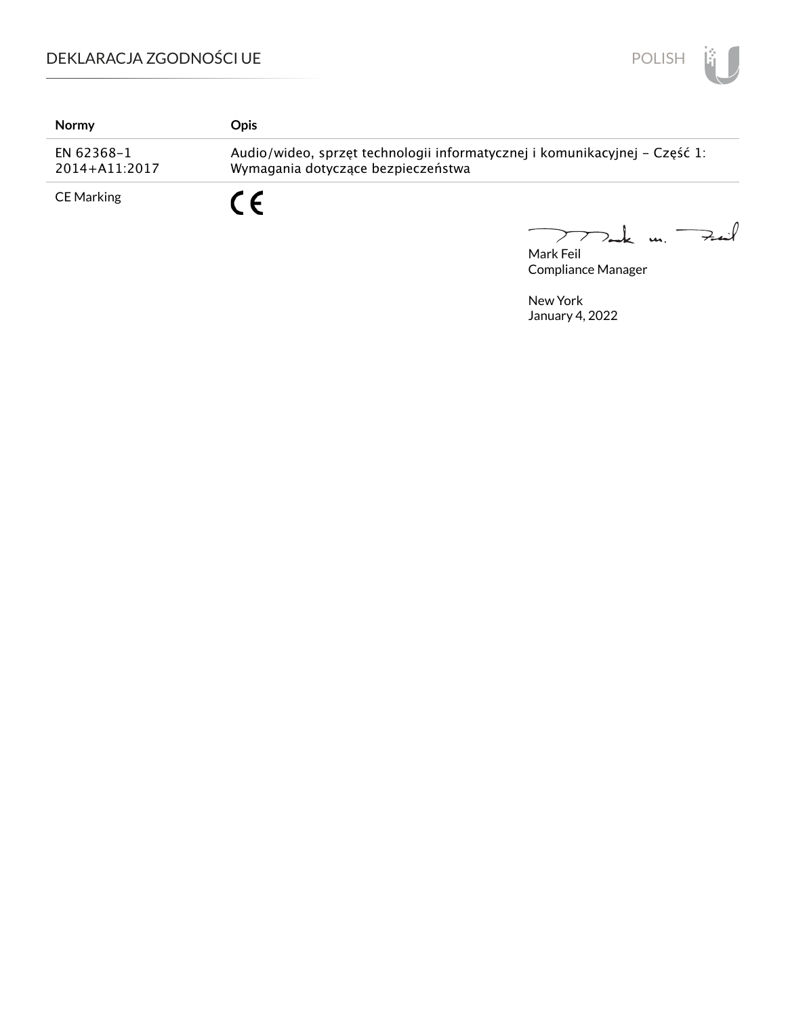# DEKLARACJA ZGODNOŚCI UE



| Normy                       | Opis.                                                                                                            |
|-----------------------------|------------------------------------------------------------------------------------------------------------------|
| EN 62368-1<br>2014+A11:2017 | Audio/wideo, sprzęt technologii informatycznej i komunikacyjnej – Część 1:<br>Wymagania dotyczące bezpieczeństwa |
| <b>CE Marking</b>           | C F                                                                                                              |

Mark Feil un Feil

Compliance Manager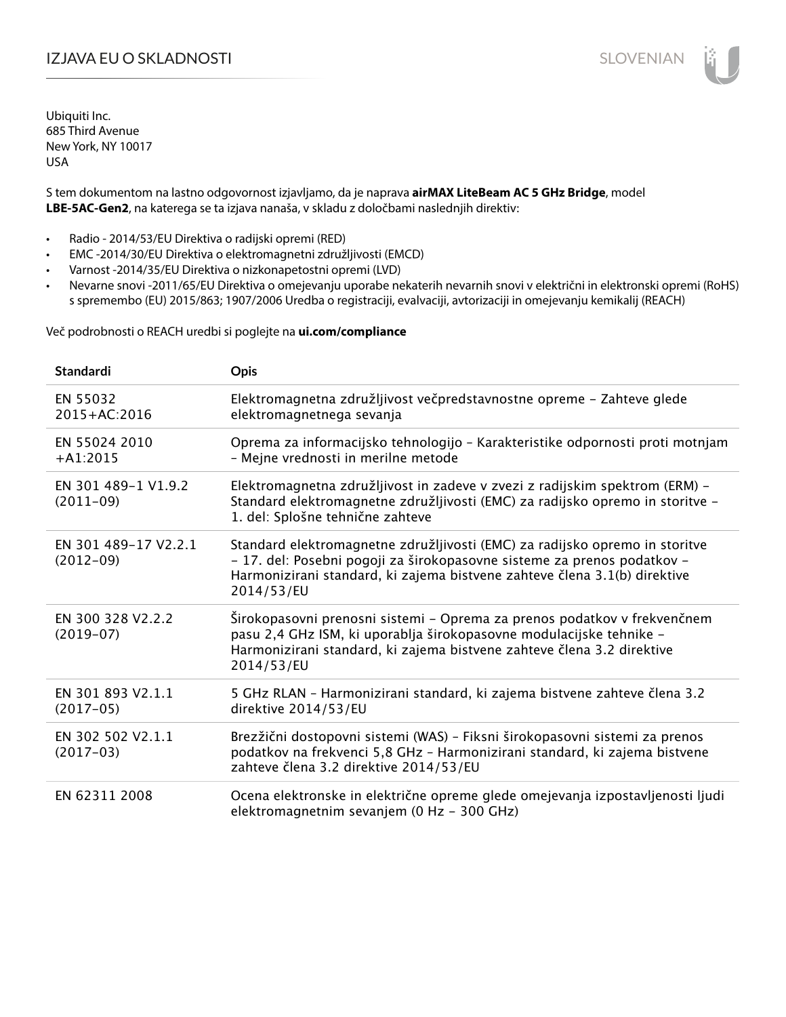# IZJAVA EU O SKLADNOSTI SLOVENIAN

Ubiquiti Inc. 685 Third Avenue New York, NY 10017 USA

S tem dokumentom na lastno odgovornost izjavljamo, da je naprava **airMAX LiteBeam AC 5 GHz Bridge**, model **LBE-5AC-Gen2**, na katerega se ta izjava nanaša, v skladu z določbami naslednjih direktiv:

- Radio 2014/53/EU Direktiva o radijski opremi (RED)
- EMC -2014/30/EU Direktiva o elektromagnetni združljivosti (EMCD)
- Varnost -2014/35/EU Direktiva o nizkonapetostni opremi (LVD)
- Nevarne snovi -2011/65/EU Direktiva o omejevanju uporabe nekaterih nevarnih snovi v električni in elektronski opremi (RoHS) s spremembo (EU) 2015/863; 1907/2006 Uredba o registraciji, evalvaciji, avtorizaciji in omejevanju kemikalij (REACH)

Več podrobnosti o REACH uredbi si poglejte na **ui.com/compliance**

| <b>Standardi</b>                    | Opis                                                                                                                                                                                                                                              |
|-------------------------------------|---------------------------------------------------------------------------------------------------------------------------------------------------------------------------------------------------------------------------------------------------|
| EN 55032<br>2015+AC:2016            | Elektromagnetna združljivost večpredstavnostne opreme - Zahteve glede<br>elektromagnetnega sevanja                                                                                                                                                |
| EN 55024 2010<br>$+A1:2015$         | Oprema za informacijsko tehnologijo - Karakteristike odpornosti proti motnjam<br>- Mejne vrednosti in merilne metode                                                                                                                              |
| EN 301 489-1 V1.9.2<br>$(2011-09)$  | Elektromagnetna združljivost in zadeve v zvezi z radijskim spektrom (ERM) -<br>Standard elektromagnetne združljivosti (EMC) za radijsko opremo in storitve -<br>1. del: Splošne tehnične zahteve                                                  |
| EN 301 489-17 V2.2.1<br>$(2012-09)$ | Standard elektromagnetne združljivosti (EMC) za radijsko opremo in storitve<br>- 17. del: Posebni pogoji za širokopasovne sisteme za prenos podatkov -<br>Harmonizirani standard, ki zajema bistvene zahteve člena 3.1(b) direktive<br>2014/53/EU |
| EN 300 328 V2.2.2<br>$(2019-07)$    | Širokopasovni prenosni sistemi – Oprema za prenos podatkov v frekvenčnem<br>pasu 2,4 GHz ISM, ki uporablja širokopasovne modulacijske tehnike -<br>Harmonizirani standard, ki zajema bistvene zahteve člena 3.2 direktive<br>2014/53/EU           |
| EN 301 893 V2.1.1<br>$(2017-05)$    | 5 GHz RLAN - Harmonizirani standard, ki zajema bistvene zahteve člena 3.2<br>direktive 2014/53/EU                                                                                                                                                 |
| EN 302 502 V2.1.1<br>$(2017-03)$    | Brezžični dostopovni sistemi (WAS) - Fiksni širokopasovni sistemi za prenos<br>podatkov na frekvenci 5,8 GHz - Harmonizirani standard, ki zajema bistvene<br>zahteve člena 3.2 direktive 2014/53/EU                                               |
| EN 62311 2008                       | Ocena elektronske in električne opreme glede omejevanja izpostavljenosti ljudi<br>elektromagnetnim sevanjem (0 Hz - 300 GHz)                                                                                                                      |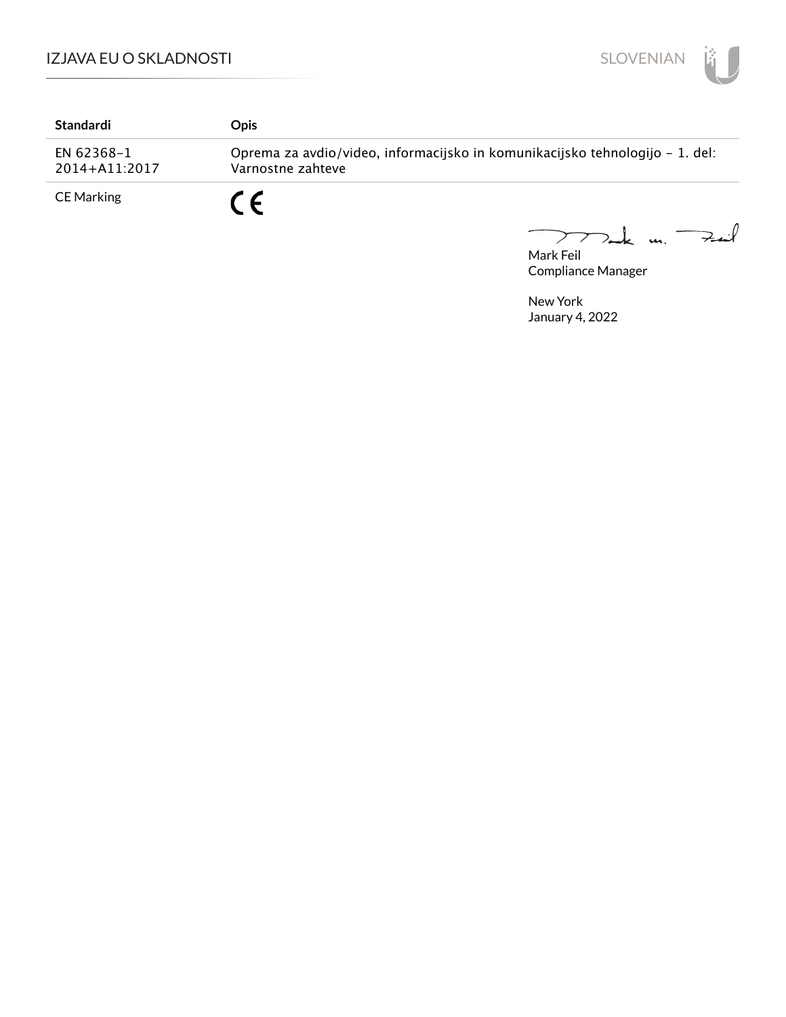

| Standardi                   | Opis                                                                                              |
|-----------------------------|---------------------------------------------------------------------------------------------------|
| EN 62368-1<br>2014+A11:2017 | Oprema za avdio/video, informacijsko in komunikacijsko tehnologijo – 1. del:<br>Varnostne zahteve |
| <b>CE Marking</b>           | C E                                                                                               |

Mark Feil<br>Mark Feil  $\overline{\phantom{m}}$ 

Compliance Manager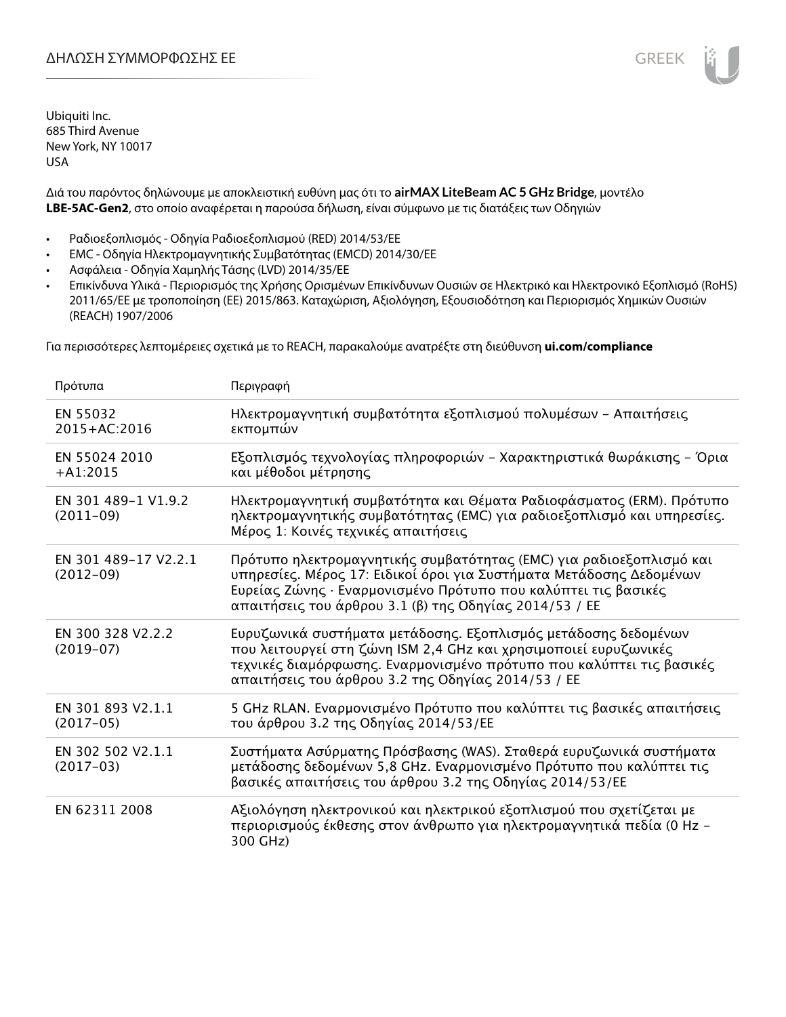Ubiquiti Inc. 685 Third Avenue New York, NY 10017 USA

Διά του παρόντος δηλώνουμε με αποκλειστική ευθύνη μας ότι το **airMAX LiteBeam AC 5 GHz Bridge**, μοντέλο **LBE-5AC-Gen2**, στο οποίο αναφέρεται η παρούσα δήλωση, είναι σύμφωνο με τις διατάξεις των Οδηγιών

- Ραδιοεξοπλισμός Οδηγία Ραδιοεξοπλισμού (RED) 2014/53/ΕΕ
- EMC Οδηγία Ηλεκτρομαγνητικής Συμβατότητας (EMCD) 2014/30/ΕΕ
- Ασφάλεια Οδηγία Χαμηλής Τάσης (LVD) 2014/35/ΕΕ
- Επικίνδυνα Υλικά Περιορισμός της Χρήσης Ορισμένων Επικίνδυνων Ουσιών σε Ηλεκτρικό και Ηλεκτρονικό Εξοπλισμό (RoHS) 2011/65/ΕΕ με τροποποίηση (ΕΕ) 2015/863. Καταχώριση, Αξιολόγηση, Εξουσιοδότηση και Περιορισμός Χημικών Ουσιών (REACH) 1907/2006

Για περισσότερες λεπτομέρειες σχετικά με το REACH, παρακαλούμε ανατρέξτε στη διεύθυνση **ui.com/compliance**

| Πρότυπα                             | Περιγραφή                                                                                                                                                                                                                                                              |
|-------------------------------------|------------------------------------------------------------------------------------------------------------------------------------------------------------------------------------------------------------------------------------------------------------------------|
| EN 55032<br>2015+AC:2016            | Ηλεκτρομαγνητική συμβατότητα εξοπλισμού πολυμέσων - Απαιτήσεις<br>εκπομπών                                                                                                                                                                                             |
| EN 55024 2010<br>$+A1:2015$         | Εξοπλισμός τεχνολογίας πληροφοριών - Χαρακτηριστικά θωράκισης - Όρια<br>και μέθοδοι μέτρησης                                                                                                                                                                           |
| EN 301 489-1 V1.9.2<br>$(2011-09)$  | Ηλεκτρομαγνητική συμβατότητα και Θέματα Ραδιοφάσματος (ERM). Πρότυπο<br>ηλεκτρομαγνητικής συμβατότητας (ΕΜC) για ραδιοεξοπλισμό και υπηρεσίες.<br>Μέρος 1: Κοινές τεχνικές απαιτήσεις                                                                                  |
| EN 301 489-17 V2.2.1<br>$(2012-09)$ | Πρότυπο ηλεκτρομαγνητικής συμβατότητας (ΕΜC) για ραδιοεξοπλισμό και<br>υπηρεσίες. Μέρος 17: Ειδικοί όροι για Συστήματα Μετάδοσης Δεδομένων<br>Ευρείας Ζώνης · Εναρμονισμένο Πρότυπο που καλύπτει τις βασικές<br>απαιτήσεις του άρθρου 3.1 (β) της Οδηγίας 2014/53 / ΕΕ |
| EN 300 328 V2.2.2<br>$(2019-07)$    | Ευρυζωνικά συστήματα μετάδοσης. Εξοπλισμός μετάδοσης δεδομένων<br>που λειτουργεί στη ζώνη ISM 2,4 GHz και χρησιμοποιεί ευρυζωνικές<br>τεχνικές διαμόρφωσης. Εναρμονισμένο πρότυπο που καλύπτει τις βασικές<br>απαιτήσεις του άρθρου 3.2 της Οδηγίας 2014/53 / ΕΕ       |
| EN 301 893 V2.1.1<br>$(2017-05)$    | 5 GHz RLAN. Εναρμονισμένο Πρότυπο που καλύπτει τις βασικές απαιτήσεις<br>του άρθρου 3.2 της Οδηγίας 2014/53/ΕΕ                                                                                                                                                         |
| EN 302 502 V2.1.1<br>$(2017-03)$    | Συστήματα Ασύρματης Πρόσβασης (WAS). Σταθερά ευρυζωνικά συστήματα<br>μετάδοσης δεδομένων 5,8 GHz. Εναρμονισμένο Πρότυπο που καλύπτει τις<br>βασικές απαιτήσεις του άρθρου 3.2 της Οδηγίας 2014/53/ΕΕ                                                                   |
| EN 62311 2008                       | Αξιολόγηση ηλεκτρονικού και ηλεκτρικού εξοπλισμού που σχετίζεται με<br>περιορισμούς έκθεσης στον άνθρωπο για ηλεκτρομαγνητικά πεδία (0 Hz –<br>300 GHz)                                                                                                                |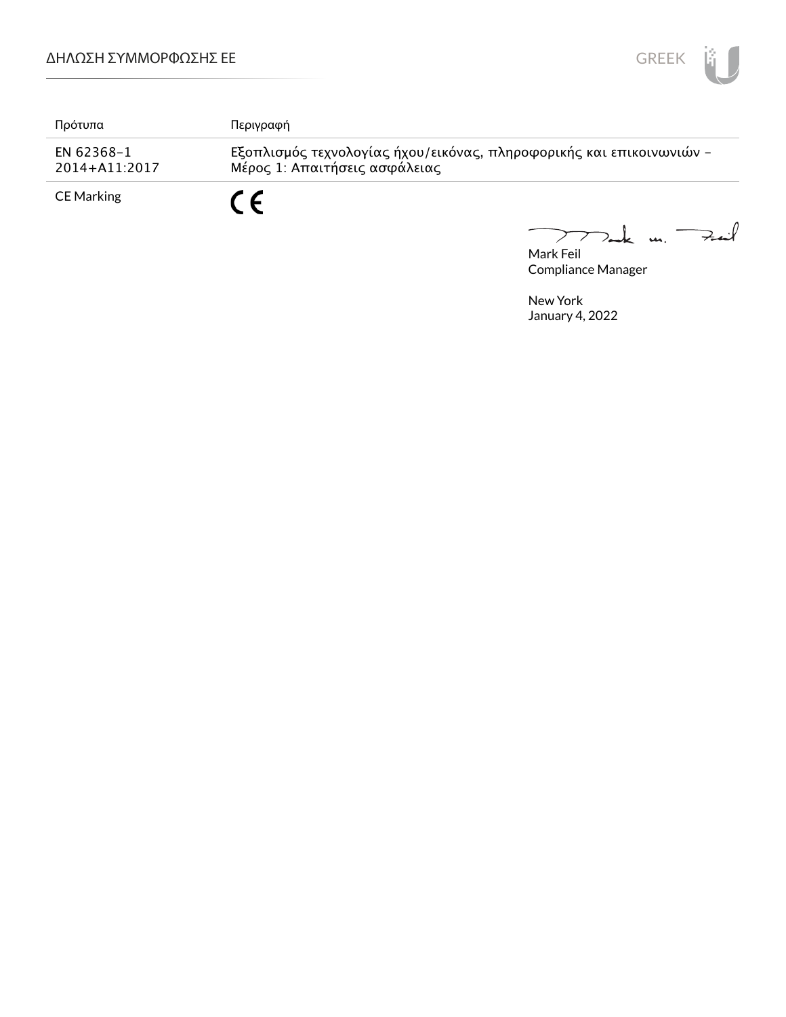

| Πρότυπα                         | Περιγραφή                                                                                             |
|---------------------------------|-------------------------------------------------------------------------------------------------------|
| EN 62368-1<br>$2014 + A11:2017$ | Εξοπλισμός τεχνολογίας ήχου/εικόνας, πληροφορικής και επικοινωνιών -<br>Μέρος 1: Απαιτήσεις ασφάλειας |
| <b>CE Marking</b>               | C F                                                                                                   |

Mark Feil<br>Mark Feil  $\overline{\phantom{0}}$ 

Compliance Manager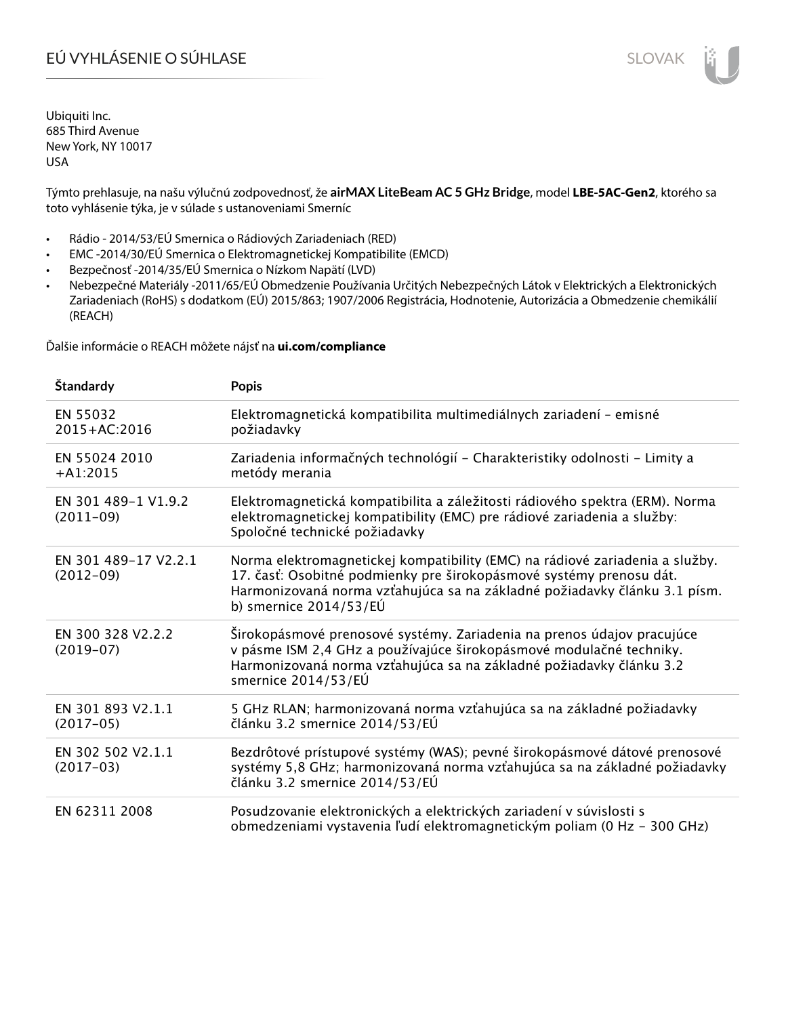# EÚ VYHLÁSENIE O SÚHLASE SLOVAK SLOVAK

Ubiquiti Inc. 685 Third Avenue New York, NY 10017 USA

Týmto prehlasuje, na našu výlučnú zodpovednosť, že **airMAX LiteBeam AC 5 GHz Bridge**, model **LBE-5AC-Gen2**, ktorého sa toto vyhlásenie týka, je v súlade s ustanoveniami Smerníc

- Rádio 2014/53/EÚ Smernica o Rádiových Zariadeniach (RED)
- EMC -2014/30/EÚ Smernica o Elektromagnetickej Kompatibilite (EMCD)
- Bezpečnosť -2014/35/EÚ Smernica o Nízkom Napätí (LVD)
- Nebezpečné Materiály -2011/65/EÚ Obmedzenie Používania Určitých Nebezpečných Látok v Elektrických a Elektronických Zariadeniach (RoHS) s dodatkom (EÚ) 2015/863; 1907/2006 Registrácia, Hodnotenie, Autorizácia a Obmedzenie chemikálií (REACH)

Ďalšie informácie o REACH môžete nájsť na **ui.com/compliance**

| <b>Standardy</b>                    | <b>Popis</b>                                                                                                                                                                                                                                                 |
|-------------------------------------|--------------------------------------------------------------------------------------------------------------------------------------------------------------------------------------------------------------------------------------------------------------|
| EN 55032<br>2015+AC:2016            | Elektromagnetická kompatibilita multimediálnych zariadení - emisné<br>požiadavky                                                                                                                                                                             |
| EN 55024 2010<br>$+A1:2015$         | Zariadenia informačných technológií - Charakteristiky odolnosti - Limity a<br>metódy merania                                                                                                                                                                 |
| EN 301 489-1 V1.9.2<br>$(2011-09)$  | Elektromagnetická kompatibilita a záležitosti rádiového spektra (ERM). Norma<br>elektromagnetickej kompatibility (EMC) pre rádiové zariadenia a služby:<br>Spoločné technické požiadavky                                                                     |
| EN 301 489-17 V2.2.1<br>$(2012-09)$ | Norma elektromagnetickej kompatibility (EMC) na rádiové zariadenia a služby.<br>17. časť: Osobitné podmienky pre širokopásmové systémy prenosu dát.<br>Harmonizovaná norma vzťahujúca sa na základné požiadavky článku 3.1 písm.<br>b) smernice $2014/53/EU$ |
| EN 300 328 V2.2.2<br>$(2019-07)$    | Širokopásmové prenosové systémy. Zariadenia na prenos údajov pracujúce<br>v pásme ISM 2,4 GHz a používajúce širokopásmové modulačné techniky.<br>Harmonizovaná norma vzťahujúca sa na základné požiadavky článku 3.2<br>smernice 2014/53/EÚ                  |
| EN 301 893 V2.1.1<br>$(2017-05)$    | 5 GHz RLAN; harmonizovaná norma vzťahujúca sa na základné požiadavky<br>článku 3.2 smernice 2014/53/EÚ                                                                                                                                                       |
| EN 302 502 V2.1.1<br>$(2017-03)$    | Bezdrôtové prístupové systémy (WAS); pevné širokopásmové dátové prenosové<br>systémy 5,8 GHz; harmonizovaná norma vzťahujúca sa na základné požiadavky<br>článku 3.2 smernice 2014/53/EÚ                                                                     |
| EN 62311 2008                       | Posudzovanie elektronických a elektrických zariadení v súvislosti s<br>obmedzeniami vystavenia ľudí elektromagnetickým poliam (0 Hz - 300 GHz)                                                                                                               |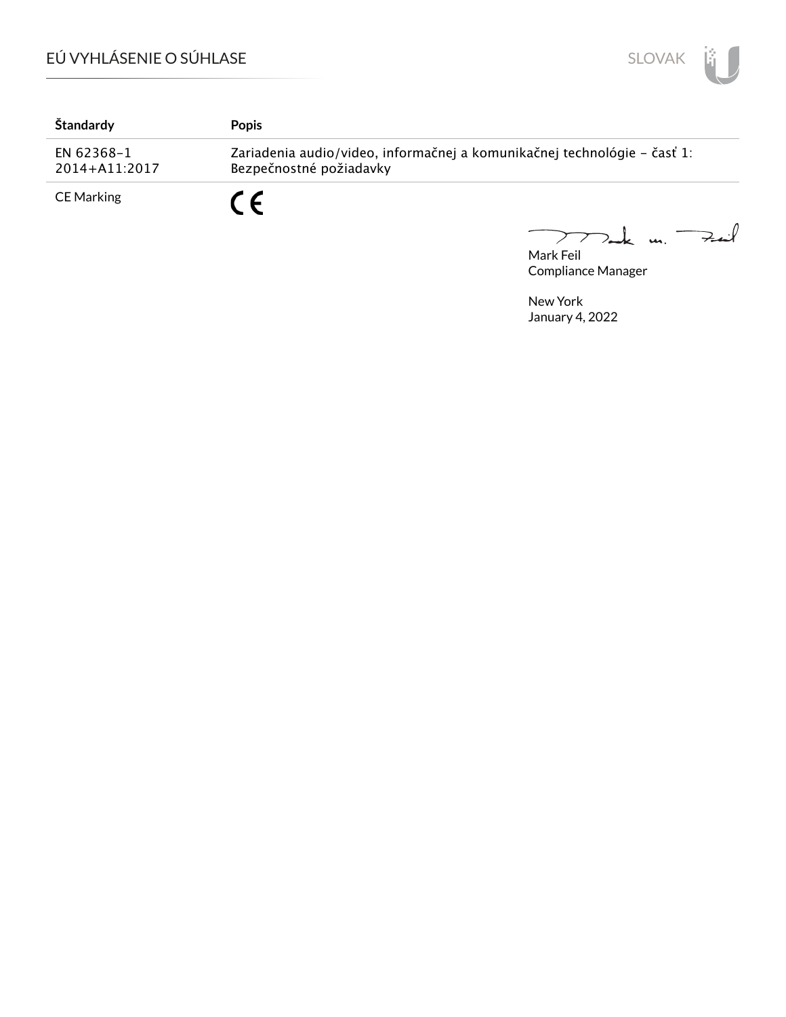

| Štandardy                   | <b>Popis</b>                                                                                        |
|-----------------------------|-----------------------------------------------------------------------------------------------------|
| EN 62368-1<br>2014+A11:2017 | Zariadenia audio/video, informačnej a komunikačnej technológie – časť 1:<br>Bezpečnostné požiadavky |
| <b>CE Marking</b>           | C E                                                                                                 |

Mark Feil<br>Mark Feil  $\overline{\phantom{m}}$ 

Compliance Manager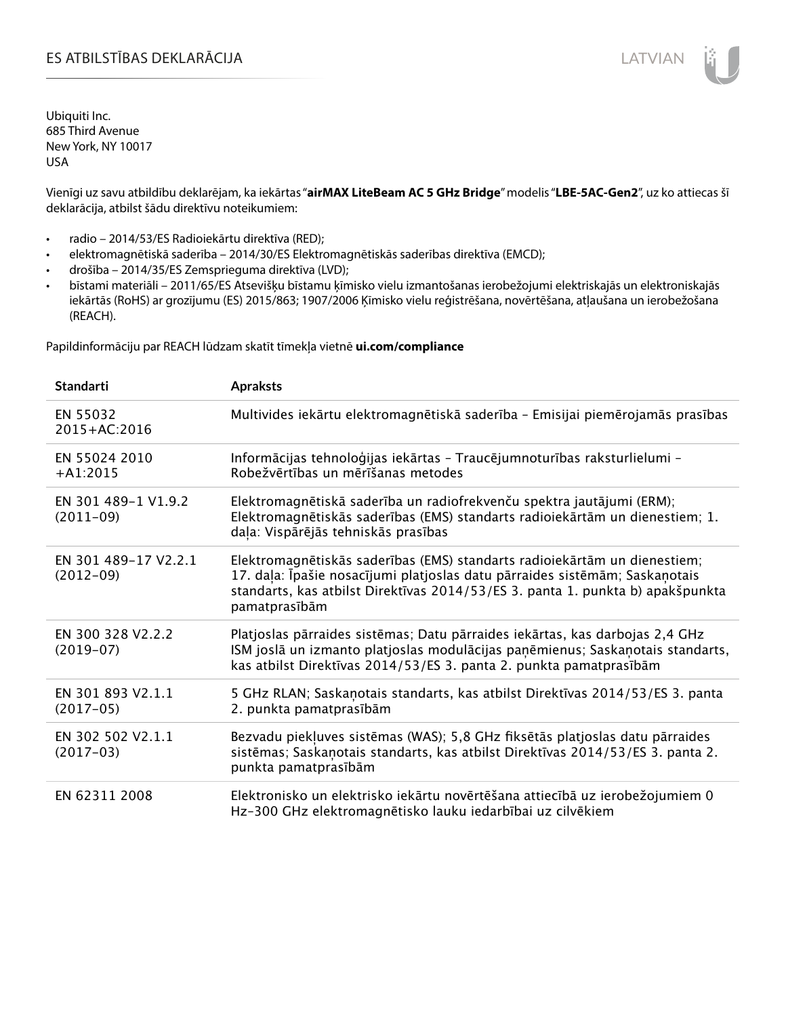Ubiquiti Inc. 685 Third Avenue New York, NY 10017 USA

Vienīgi uz savu atbildību deklarējam, ka iekārtas "**airMAX LiteBeam AC 5 GHz Bridge**" modelis "**LBE-5AC-Gen2**", uz ko attiecas šī deklarācija, atbilst šādu direktīvu noteikumiem:

- radio 2014/53/ES Radioiekārtu direktīva (RED);
- elektromagnētiskā saderība 2014/30/ES Elektromagnētiskās saderības direktīva (EMCD);
- drošība 2014/35/ES Zemsprieguma direktīva (LVD);
- bīstami materiāli 2011/65/ES Atsevišķu bīstamu ķīmisko vielu izmantošanas ierobežojumi elektriskajās un elektroniskajās iekārtās (RoHS) ar grozījumu (ES) 2015/863; 1907/2006 Ķīmisko vielu reģistrēšana, novērtēšana, atļaušana un ierobežošana (REACH).

Papildinformāciju par REACH lūdzam skatīt tīmekļa vietnē **ui.com/compliance**

| <b>Standarti</b>                    | <b>Apraksts</b>                                                                                                                                                                                                                                             |
|-------------------------------------|-------------------------------------------------------------------------------------------------------------------------------------------------------------------------------------------------------------------------------------------------------------|
| EN 55032<br>2015+AC:2016            | Multivides iekārtu elektromagnētiskā saderība - Emisijai piemērojamās prasības                                                                                                                                                                              |
| EN 55024 2010<br>$+A1:2015$         | Informācijas tehnoloģijas iekārtas - Traucējumnoturības raksturlielumi -<br>Robežvērtības un mērīšanas metodes                                                                                                                                              |
| EN 301 489-1 V1.9.2<br>$(2011-09)$  | Elektromagnētiskā saderība un radiofrekvenču spektra jautājumi (ERM);<br>Elektromagnētiskās saderības (EMS) standarts radioiekārtām un dienestiem; 1.<br>daļa: Vispārējās tehniskās prasības                                                                |
| EN 301 489-17 V2.2.1<br>$(2012-09)$ | Elektromagnētiskās saderības (EMS) standarts radioiekārtām un dienestiem;<br>17. daļa: Īpašie nosacījumi platjoslas datu pārraides sistēmām; Saskaņotais<br>standarts, kas atbilst Direktīvas 2014/53/ES 3. panta 1. punkta b) apakšpunkta<br>pamatprasībām |
| EN 300 328 V2.2.2<br>$(2019-07)$    | Platjoslas pārraides sistēmas; Datu pārraides iekārtas, kas darbojas 2,4 GHz<br>ISM joslā un izmanto platjoslas modulācijas paņēmienus; Saskaņotais standarts,<br>kas atbilst Direktīvas 2014/53/ES 3. panta 2. punkta pamatprasībām                        |
| EN 301 893 V2.1.1<br>$(2017-05)$    | 5 GHz RLAN; Saskanotais standarts, kas atbilst Direktīvas 2014/53/ES 3. panta<br>2. punkta pamatprasībām                                                                                                                                                    |
| EN 302 502 V2.1.1<br>$(2017-03)$    | Bezvadu piekļuves sistēmas (WAS); 5,8 GHz fiksētās platjoslas datu pārraides<br>sistēmas; Saskaņotais standarts, kas atbilst Direktīvas 2014/53/ES 3. panta 2.<br>punkta pamatprasībām                                                                      |
| EN 62311 2008                       | Elektronisko un elektrisko iekārtu novērtēšana attiecībā uz ierobežojumiem 0<br>Hz-300 GHz elektromagnētisko lauku iedarbībai uz cilvēkiem                                                                                                                  |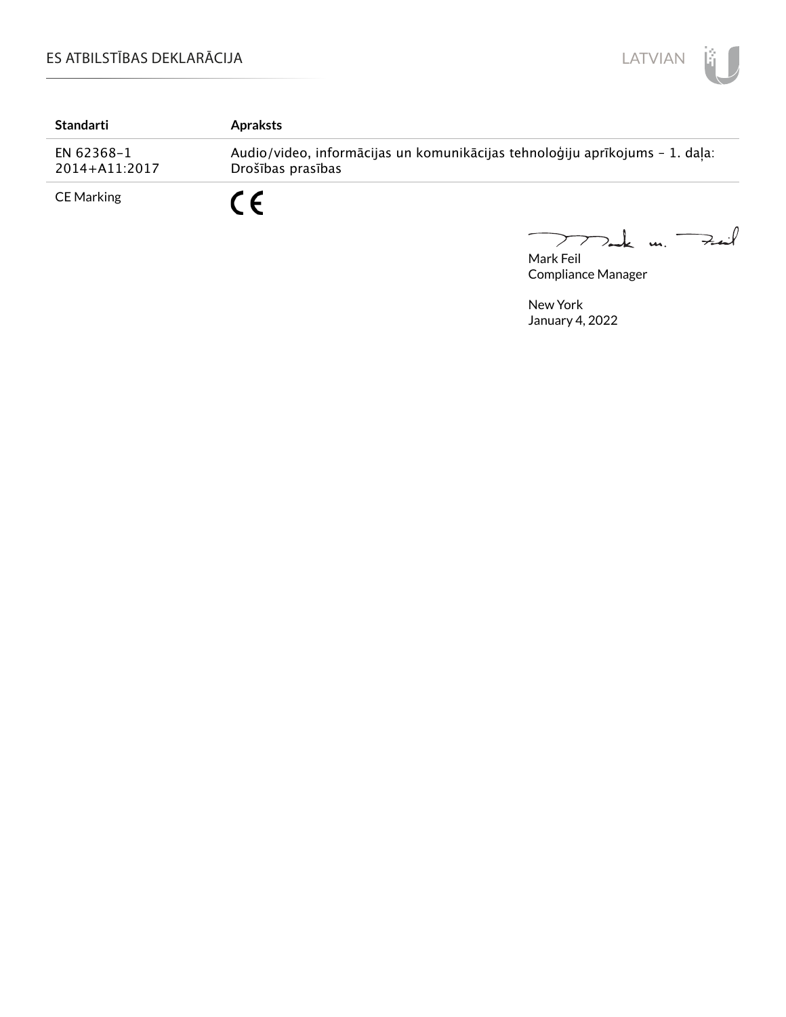

| <b>Standarti</b>            | <b>Apraksts</b>                                                                                   |
|-----------------------------|---------------------------------------------------------------------------------------------------|
| EN 62368-1<br>2014+A11:2017 | Audio/video, informācijas un komunikācijas tehnoloģiju aprīkojums - 1. daļa:<br>Drošības prasības |
| CE Marking                  | C E                                                                                               |

Mark Feil<br>Mark Feil  $\overline{\phantom{0}}$ 

Compliance Manager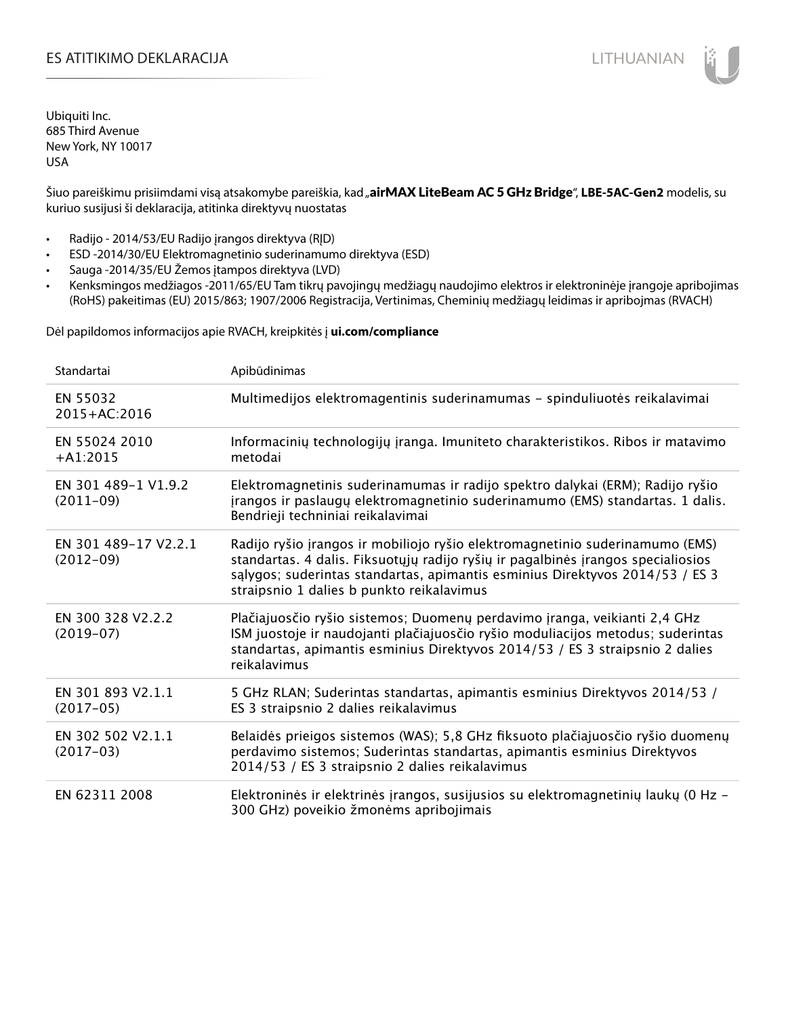# ES ATITIKIMO DEKLARACIJA NA SATITIKIMO DEKLARACIJA NA SATITIKIMO DEKLARACIJA NA SATITIKIMO DE KLARACIJA NA SATI

Ubiquiti Inc. 685 Third Avenue New York, NY 10017 USA

Šiuo pareiškimu prisiimdami visą atsakomybe pareiškia, kad "airMAX LiteBeam AC 5 GHz Bridge", LBE-5AC-Gen2 modelis, su kuriuo susijusi ši deklaracija, atitinka direktyvų nuostatas

- Radijo 2014/53/EU Radijo įrangos direktyva (RĮD)
- ESD -2014/30/EU Elektromagnetinio suderinamumo direktyva (ESD)
- Sauga -2014/35/EU Žemos įtampos direktyva (LVD)
- Kenksmingos medžiagos -2011/65/EU Tam tikrų pavojingų medžiagų naudojimo elektros ir elektroninėje įrangoje apribojimas (RoHS) pakeitimas (EU) 2015/863; 1907/2006 Registracija, Vertinimas, Cheminių medžiagų leidimas ir apribojmas (RVACH)

Dėl papildomos informacijos apie RVACH, kreipkitės į **ui.com/compliance**

| Standartai                          | Apibūdinimas                                                                                                                                                                                                                                                                                  |
|-------------------------------------|-----------------------------------------------------------------------------------------------------------------------------------------------------------------------------------------------------------------------------------------------------------------------------------------------|
| EN 55032<br>2015+AC:2016            | Multimedijos elektromagentinis suderinamumas - spinduliuotės reikalavimai                                                                                                                                                                                                                     |
| EN 55024 2010<br>$+A1:2015$         | Informacinių technologijų įranga. Imuniteto charakteristikos. Ribos ir matavimo<br>metodai                                                                                                                                                                                                    |
| EN 301 489-1 V1.9.2<br>$(2011-09)$  | Elektromagnetinis suderinamumas ir radijo spektro dalykai (ERM); Radijo ryšio<br>įrangos ir paslaugų elektromagnetinio suderinamumo (EMS) standartas. 1 dalis.<br>Bendrieji techniniai reikalavimai                                                                                           |
| EN 301 489-17 V2.2.1<br>$(2012-09)$ | Radijo ryšio įrangos ir mobiliojo ryšio elektromagnetinio suderinamumo (EMS)<br>standartas. 4 dalis. Fiksuotųjų radijo ryšių ir pagalbinės įrangos specialiosios<br>salygos; suderintas standartas, apimantis esminius Direktyvos 2014/53 / ES 3<br>straipsnio 1 dalies b punkto reikalavimus |
| EN 300 328 V2.2.2<br>$(2019-07)$    | Plačiajuosčio ryšio sistemos; Duomenų perdavimo įranga, veikianti 2,4 GHz<br>ISM juostoje ir naudojanti plačiajuosčio ryšio moduliacijos metodus; suderintas<br>standartas, apimantis esminius Direktyvos 2014/53 / ES 3 straipsnio 2 dalies<br>reikalavimus                                  |
| EN 301 893 V2.1.1<br>$(2017-05)$    | 5 GHz RLAN; Suderintas standartas, apimantis esminius Direktyvos 2014/53 /<br>ES 3 straipsnio 2 dalies reikalavimus                                                                                                                                                                           |
| EN 302 502 V2.1.1<br>$(2017-03)$    | Belaidės prieigos sistemos (WAS); 5,8 GHz fiksuoto plačiajuosčio ryšio duomenų<br>perdavimo sistemos; Suderintas standartas, apimantis esminius Direktyvos<br>2014/53 / ES 3 straipsnio 2 dalies reikalavimus                                                                                 |
| EN 62311 2008                       | Elektroninės ir elektrinės įrangos, susijusios su elektromagnetinių laukų (0 Hz -<br>300 GHz) poveikio žmonėms apribojimais                                                                                                                                                                   |